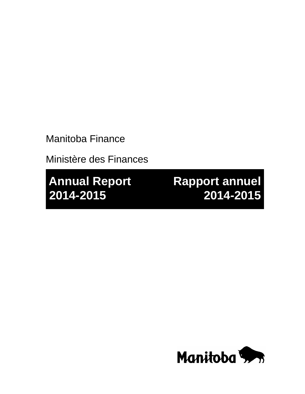Manitoba Finance

Ministère des Finances

**Annual Report Rapport annuel 2014-2015 2014-2015**

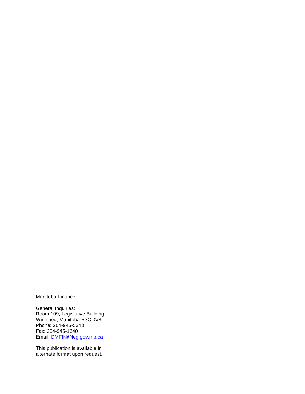Manitoba Finance

General Inquiries: Room 109, Legislative Building Winnipeg, Manitoba R3C 0V8 Phone: 204-945-5343 Fax: 204-945-1640 Email: [DMFIN@leg.gov.mb.ca](mailto:DMFIN@leg.gov.mb.ca)

This publication is available in alternate format upon request.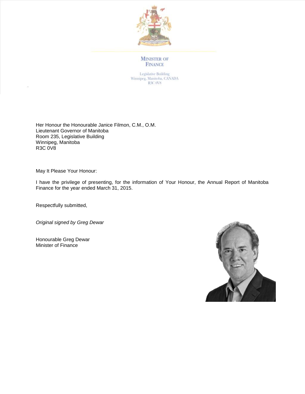

#### **MINISTER OF FINANCE**

Legislative Building<br>Winnipeg, Manitoba, CANADA R3C 0V8

Her Honour the Honourable Janice Filmon, C.M., O.M. Lieutenant Governor of Manitoba Room 235, Legislative Building Winnipeg, Manitoba R3C 0V8

May It Please Your Honour:

I have the privilege of presenting, for the information of Your Honour, the Annual Report of Manitoba Finance for the year ended March 31, 2015.

Respectfully submitted,

*Original signed by Greg Dewar*

Honourable Greg Dewar Minister of Finance

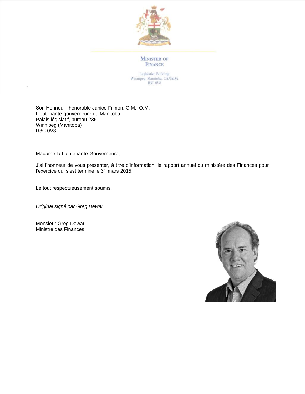

**MINISTER OF** FINANCE

Legislative Building Winnipeg, Manitoba, CANADA R3C 0V8

Son Honneur l'honorable Janice Filmon, C.M., O.M. Lieutenante-gouverneure du Manitoba Palais législatif, bureau 235 Winnipeg (Manitoba) R3C 0V8

Madame la Lieutenante-Gouverneure,

J'ai l'honneur de vous présenter, à titre d'information, le rapport annuel du ministère des Finances pour l'exercice qui s'est terminé le 31 mars 2015.

Le tout respectueusement soumis.

*Original signé par Greg Dewar*

Monsieur Greg Dewar Ministre des Finances

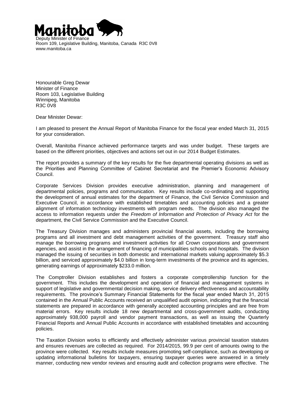

Room 109, Legislative Building, Manitoba, Canada R3C 0V8 www.manitoba.ca

Honourable Greg Dewar Minister of Finance Room 103, Legislative Building Winnipeg, Manitoba R3C 0V8

Dear Minister Dewar:

I am pleased to present the Annual Report of Manitoba Finance for the fiscal year ended March 31, 2015 for your consideration.

Overall, Manitoba Finance achieved performance targets and was under budget. These targets are based on the different priorities, objectives and actions set out in our 2014 Budget Estimates.

The report provides a summary of the key results for the five departmental operating divisions as well as the Priorities and Planning Committee of Cabinet Secretariat and the Premier's Economic Advisory Council.

Corporate Services Division provides executive administration, planning and management of departmental policies, programs and communication. Key results include co-ordinating and supporting the development of annual estimates for the department of Finance, the Civil Service Commission and Executive Council, in accordance with established timetables and accounting policies and a greater alignment of information technology investments with program needs. The division also managed the access to information requests under the *Freedom of Information and Protection of Privacy Act* for the department, the Civil Service Commission and the Executive Council.

The Treasury Division manages and administers provincial financial assets, including the borrowing programs and all investment and debt management activities of the government. Treasury staff also manage the borrowing programs and investment activities for all Crown corporations and government agencies, and assist in the arrangement of financing of municipalities schools and hospitals. The division managed the issuing of securities in both domestic and international markets valuing approximately \$5.3 billion, and serviced approximately \$4.0 billion in long-term investments of the province and its agencies, generating earnings of approximately \$233.0 million.

The Comptroller Division establishes and fosters a corporate comptrollership function for the government. This includes the development and operation of financial and management systems in support of legislative and governmental decision making, service delivery effectiveness and accountability requirements. The province's Summary Financial Statements for the fiscal year ended March 31, 2015 contained in the Annual Public Accounts received an unqualified audit opinion, indicating that the financial statements are prepared in accordance with generally accepted accounting principles and are free from material errors. Key results include 18 new departmental and cross-government audits, conducting approximately 938,000 payroll and vendor payment transactions, as well as issuing the Quarterly Financial Reports and Annual Public Accounts in accordance with established timetables and accounting policies.

The Taxation Division works to efficiently and effectively administer various provincial taxation statutes and ensures revenues are collected as required. For 2014/2015, 99.9 per cent of amounts owing to the province were collected. Key results include measures promoting self-compliance, such as developing or updating informational bulletins for taxpayers, ensuring taxpayer queries were answered in a timely manner, conducting new vendor reviews and ensuring audit and collection programs were effective. The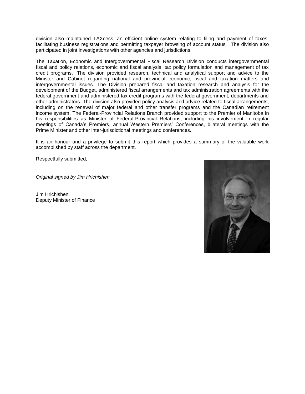division also maintained TAXcess, an efficient online system relating to filing and payment of taxes, facilitating business registrations and permitting taxpayer browsing of account status. The division also participated in joint investigations with other agencies and jurisdictions.

The Taxation, Economic and Intergovernmental Fiscal Research Division conducts intergovernmental fiscal and policy relations, economic and fiscal analysis, tax policy formulation and management of tax credit programs. The division provided research, technical and analytical support and advice to the Minister and Cabinet regarding national and provincial economic, fiscal and taxation matters and intergovernmental issues. The Division prepared fiscal and taxation research and analysis for the development of the Budget, administered fiscal arrangements and tax administration agreements with the federal government and administered tax credit programs with the federal government, departments and other administrators. The division also provided policy analysis and advice related to fiscal arrangements, including on the renewal of major federal and other transfer programs and the Canadian retirement income system. The Federal-Provincial Relations Branch provided support to the Premier of Manitoba in his responsibilities as Minister of Federal-Provincial Relations, including his involvement in regular meetings of Canada's Premiers, annual Western Premiers' Conferences, bilateral meetings with the Prime Minister and other inter-jurisdictional meetings and conferences.

It is an honour and a privilege to submit this report which provides a summary of the valuable work accomplished by staff across the department.

Respectfully submitted,

*Original signed by Jim Hrichishen*

Jim Hrichishen Deputy Minister of Finance

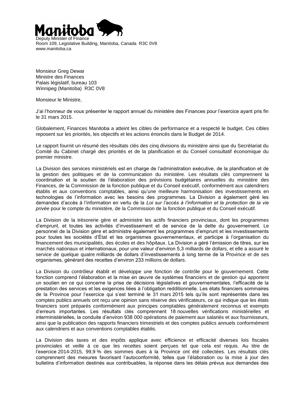

Room 109, Legislative Building, Manitoba, Canada R3C 0V8 www.manitoba.ca

Monsieur Greg Dewar Ministre des Finances Palais législatif, bureau 103 Winnipeg (Manitoba) R3C 0V8

Monsieur le Ministre,

J'ai l'honneur de vous présenter le rapport annuel du ministère des Finances pour l'exercice ayant pris fin le 31 mars 2015.

Globalement, Finances Manitoba a atteint les cibles de performance et a respecté le budget. Ces cibles reposent sur les priorités, les objectifs et les actions énoncés dans le Budget de 2014.

Le rapport fournit un résumé des résultats clés des cinq divisions du ministère ainsi que du Secrétariat du Comité du Cabinet chargé des priorités et de la planification et du Conseil consultatif économique du premier ministre.

La Division des services ministériels est en charge de l'administration exécutive, de la planification et de la gestion des politiques et de la communication du ministère. Les résultats clés comprennent la coordination et le soutien de l'élaboration des prévisions budgétaires annuelles du ministère des Finances, de la Commission de la fonction publique et du Conseil exécutif, conformément aux calendriers établis et aux conventions comptables, ainsi qu'une meilleure harmonisation des investissements en technologies de l'information avec les besoins des programmes. La Division a également géré les demandes d'accès à l'information en vertu de la *Loi sur l'accès à l'information et la protection de la vie privée* pour le compte du ministère, de la Commission de la fonction publique et du Conseil exécutif.

La Division de la trésorerie gère et administre les actifs financiers provinciaux, dont les programmes d'emprunt, et toutes les activités d'investissement et de service de la dette du gouvernement. Le personnel de la Division gère et administre également les programmes d'emprunt et les investissements pour toutes les sociétés d'État et les organismes gouvernementaux, et participe à l'organisation du financement des municipalités, des écoles et des hôpitaux. La Division a géré l'émission de titres, sur les marchés nationaux et internationaux, pour une valeur d'environ 5,3 milliards de dollars, et elle a assuré le service de quelque quatre milliards de dollars d'investissements à long terme de la Province et de ses organismes, générant des recettes d'environ 233 millions de dollars.

La Division du contrôleur établit et développe une fonction de contrôle pour le gouvernement. Cette fonction comprend l'élaboration et la mise en œuvre de systèmes financiers et de gestion qui apportent un soutien en ce qui concerne la prise de décisions législatives et gouvernementales, l'efficacité de la prestation des services et les exigences liées à l'obligation redditionnelle. Les états financiers sommaires de la Province pour l'exercice qui s'est terminé le 31 mars 2015 tels qu'ils sont représentés dans les comptes publics annuels ont reçu une opinion sans réserve des vérificateurs, ce qui indique que les états financiers sont préparés conformément aux principes comptables généralement reconnus et exempts d'erreurs importantes. Les résultats clés comprennent 18 nouvelles vérifications ministérielles et interministérielles, la conduite d'environ 938 000 opérations de paiement aux salariés et aux fournisseurs, ainsi que la publication des rapports financiers trimestriels et des comptes publics annuels conformément aux calendriers et aux conventions comptables établis.

La Division des taxes et des impôts applique avec efficience et efficacité diverses lois fiscales provinciales et veille à ce que les recettes soient perçues tel que cela est requis. Au titre de l'exercice 2014-2015, 99,9 % des sommes dues à la Province ont été collectées. Les résultats clés comprennent des mesures favorisant l'autoconformité, telles que l'élaboration ou la mise à jour des bulletins d'information destinés aux contribuables, la réponse dans les délais prévus aux demandes des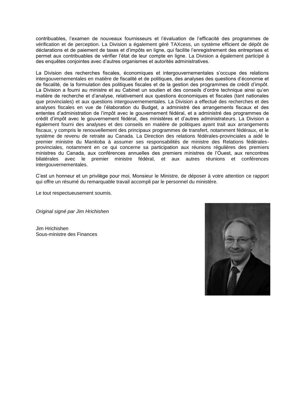contribuables, l'examen de nouveaux fournisseurs et l'évaluation de l'efficacité des programmes de vérification et de perception. La Division a également géré TAXcess, un système efficient de dépôt de déclarations et de paiement de taxes et d'impôts en ligne, qui facilite l'enregistrement des entreprises et permet aux contribuables de vérifier l'état de leur compte en ligne. La Division a également participé à des enquêtes conjointes avec d'autres organismes et autorités administratives.

La Division des recherches fiscales, économiques et intergouvernementales s'occupe des relations intergouvernementales en matière de fiscalité et de politiques, des analyses des questions d'économie et de fiscalité, de la formulation des politiques fiscales et de la gestion des programmes de crédit d'impôt. La Division a fourni au ministre et au Cabinet un soutien et des conseils d'ordre technique ainsi qu'en matière de recherche et d'analyse, relativement aux questions économiques et fiscales (tant nationales que provinciales) et aux questions intergouvernementales. La Division a effectué des recherches et des analyses fiscales en vue de l'élaboration du Budget, a administré des arrangements fiscaux et des ententes d'administration de l'impôt avec le gouvernement fédéral, et a administré des programmes de crédit d'impôt avec le gouvernement fédéral, des ministères et d'autres administrateurs. La Division a également fourni des analyses et des conseils en matière de politiques ayant trait aux arrangements fiscaux, y compris le renouvellement des principaux programmes de transfert, notamment fédéraux, et le système de revenu de retraite au Canada. La Direction des relations fédérales-provinciales a aidé le premier ministre du Manitoba à assumer ses responsabilités de ministre des Relations fédéralesprovinciales, notamment en ce qui concerne sa participation aux réunions régulières des premiers ministres du Canada, aux conférences annuelles des premiers ministres de l'Ouest, aux rencontres bilatérales avec le premier ministre fédéral, et aux autres réunions et conférences intergouvernementales.

C'est un honneur et un privilège pour moi, Monsieur le Ministre, de déposer à votre attention ce rapport qui offre un résumé du remarquable travail accompli par le personnel du ministère.

Le tout respectueusement soumis.

*Original signé par Jim Hrichishen*

Jim Hrichishen Sous-ministre des Finances

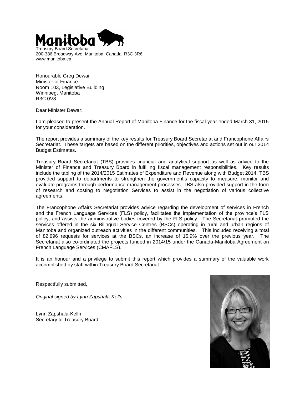

Treasury Board Secretariat 200-386 Broadway Ave, Manitoba, Canada R3C 3R6 www.manitoba.ca

Honourable Greg Dewar Minister of Finance Room 103, Legislative Building Winnipeg, Manitoba R3C 0V8

Dear Minister Dewar:

I am pleased to present the Annual Report of Manitoba Finance for the fiscal year ended March 31, 2015 for your consideration.

The report provides a summary of the key results for Treasury Board Secretariat and Francophone Affairs Secretariat. These targets are based on the different priorities, objectives and actions set out in our 2014 Budget Estimates.

Treasury Board Secretariat (TBS) provides financial and analytical support as well as advice to the Minister of Finance and Treasury Board in fulfilling fiscal management responsibilities. Key results include the tabling of the 2014/2015 Estimates of Expenditure and Revenue along with Budget 2014. TBS provided support to departments to strengthen the government's capacity to measure, monitor and evaluate programs through performance management processes. TBS also provided support in the form of research and costing to Negotiation Services to assist in the negotiation of various collective agreements.

The Francophone Affairs Secretariat provides advice regarding the development of services in French and the French Language Services (FLS) policy, facilitates the implementation of the province's FLS policy, and assists the administrative bodies covered by the FLS policy. The Secretariat promoted the services offered in the six Bilingual Service Centres (BSCs) operating in rural and urban regions of Manitoba and organized outreach activities in the different communities. This included receiving a total of 82,996 requests for services at the BSCs, an increase of 15.9% over the previous year. The Secretariat also co-ordinated the projects funded in 2014/15 under the Canada-Manitoba Agreement on French Language Services (CMAFLS).

It is an honour and a privilege to submit this report which provides a summary of the valuable work accomplished by staff within Treasury Board Secretariat.

Respectfully submitted,

*Original signed by Lynn Zapshala-Kelln*

Lynn Zapshala-Kelln Secretary to Treasury Board

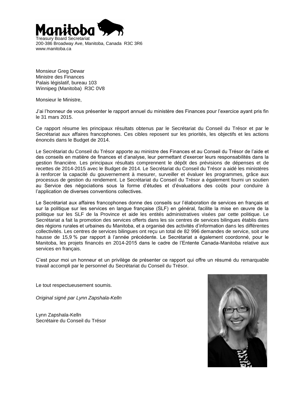

Treasury Board Secretariat 200-386 Broadway Ave, Manitoba, Canada R3C 3R6 www.manitoba.ca

Monsieur Greg Dewar Ministre des Finances Palais législatif, bureau 103 Winnipeg (Manitoba) R3C 0V8

Monsieur le Ministre,

J'ai l'honneur de vous présenter le rapport annuel du ministère des Finances pour l'exercice ayant pris fin le 31 mars 2015.

Ce rapport résume les principaux résultats obtenus par le Secrétariat du Conseil du Trésor et par le Secrétariat aux affaires francophones. Ces cibles reposent sur les priorités, les objectifs et les actions énoncés dans le Budget de 2014.

Le Secrétariat du Conseil du Trésor apporte au ministre des Finances et au Conseil du Trésor de l'aide et des conseils en matière de finances et d'analyse, leur permettant d'exercer leurs responsabilités dans la gestion financière. Les principaux résultats comprennent le dépôt des prévisions de dépenses et de recettes de 2014-2015 avec le Budget de 2014. Le Secrétariat du Conseil du Trésor a aidé les ministères à renforcer la capacité du gouvernement à mesurer, surveiller et évaluer les programmes, grâce aux processus de gestion du rendement. Le Secrétariat du Conseil du Trésor a également fourni un soutien au Service des négociations sous la forme d'études et d'évaluations des coûts pour conduire à l'application de diverses conventions collectives.

Le Secrétariat aux affaires francophones donne des conseils sur l'élaboration de services en français et sur la politique sur les services en langue française (SLF) en général, facilite la mise en œuvre de la politique sur les SLF de la Province et aide les entités administratives visées par cette politique. Le Secrétariat a fait la promotion des services offerts dans les six centres de services bilingues établis dans des régions rurales et urbaines du Manitoba, et a organisé des activités d'information dans les différentes collectivités. Les centres de services bilingues ont reçu un total de 82 996 demandes de service, soit une hausse de 15,9 % par rapport à l'année précédente. Le Secrétariat a également coordonné, pour le Manitoba, les projets financés en 2014-2015 dans le cadre de l'Entente Canada-Manitoba relative aux services en français.

C'est pour moi un honneur et un privilège de présenter ce rapport qui offre un résumé du remarquable travail accompli par le personnel du Secrétariat du Conseil du Trésor.

Le tout respectueusement soumis.

*Original signé par Lynn Zapshala-Kelln*

Lynn Zapshala-Kelln Secrétaire du Conseil du Trésor

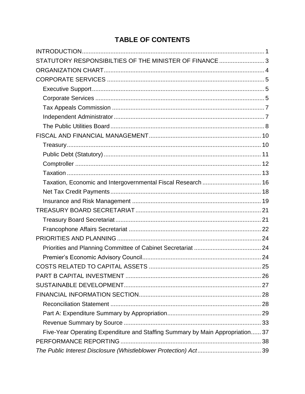# **TABLE OF CONTENTS**

| STATUTORY RESPONSIBILTIES OF THE MINISTER OF FINANCE 3                        |  |
|-------------------------------------------------------------------------------|--|
|                                                                               |  |
|                                                                               |  |
|                                                                               |  |
|                                                                               |  |
|                                                                               |  |
|                                                                               |  |
|                                                                               |  |
|                                                                               |  |
|                                                                               |  |
|                                                                               |  |
|                                                                               |  |
|                                                                               |  |
| Taxation, Economic and Intergovernmental Fiscal Research  16                  |  |
|                                                                               |  |
|                                                                               |  |
|                                                                               |  |
|                                                                               |  |
|                                                                               |  |
|                                                                               |  |
|                                                                               |  |
|                                                                               |  |
|                                                                               |  |
|                                                                               |  |
|                                                                               |  |
|                                                                               |  |
|                                                                               |  |
|                                                                               |  |
|                                                                               |  |
| Five-Year Operating Expenditure and Staffing Summary by Main Appropriation 37 |  |
|                                                                               |  |
|                                                                               |  |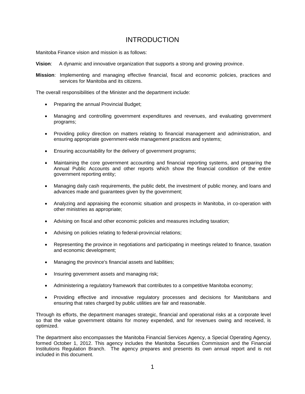### INTRODUCTION

<span id="page-16-0"></span>Manitoba Finance vision and mission is as follows:

- **Vision**: A dynamic and innovative organization that supports a strong and growing province.
- **Mission**: Implementing and managing effective financial, fiscal and economic policies, practices and services for Manitoba and its citizens.

The overall responsibilities of the Minister and the department include:

- Preparing the annual Provincial Budget;
- Managing and controlling government expenditures and revenues, and evaluating government programs;
- Providing policy direction on matters relating to financial management and administration, and ensuring appropriate government-wide management practices and systems;
- Ensuring accountability for the delivery of government programs;
- Maintaining the core government accounting and financial reporting systems, and preparing the Annual Public Accounts and other reports which show the financial condition of the entire government reporting entity;
- Managing daily cash requirements, the public debt, the investment of public money, and loans and advances made and guarantees given by the government;
- Analyzing and appraising the economic situation and prospects in Manitoba, in co-operation with other ministries as appropriate;
- Advising on fiscal and other economic policies and measures including taxation;
- Advising on policies relating to federal-provincial relations;
- Representing the province in negotiations and participating in meetings related to finance, taxation and economic development;
- Managing the province's financial assets and liabilities;
- Insuring government assets and managing risk;
- Administering a regulatory framework that contributes to a competitive Manitoba economy;
- Providing effective and innovative regulatory processes and decisions for Manitobans and ensuring that rates charged by public utilities are fair and reasonable.

Through its efforts, the department manages strategic, financial and operational risks at a corporate level so that the value government obtains for money expended, and for revenues owing and received, is optimized.

The department also encompasses the Manitoba Financial Services Agency, a Special Operating Agency, formed October 1, 2012. This agency includes the Manitoba Securities Commission and the Financial Institutions Regulation Branch. The agency prepares and presents its own annual report and is not included in this document.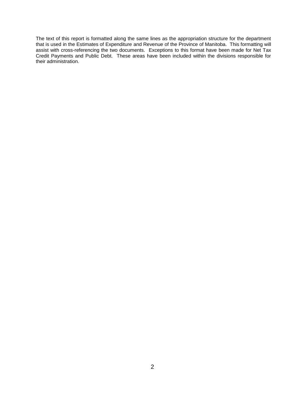The text of this report is formatted along the same lines as the appropriation structure for the department that is used in the Estimates of Expenditure and Revenue of the Province of Manitoba. This formatting will assist with cross-referencing the two documents. Exceptions to this format have been made for Net Tax Credit Payments and Public Debt. These areas have been included within the divisions responsible for their administration.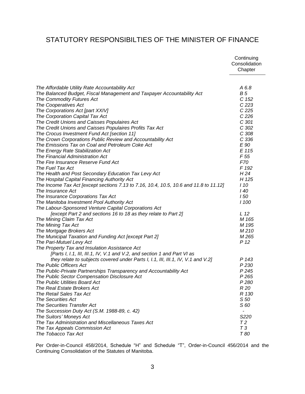## <span id="page-18-0"></span>STATUTORY RESPONSIBILTIES OF THE MINISTER OF FINANCE

|                                                                                       | Continuing<br>Consolidation<br>Chapter |
|---------------------------------------------------------------------------------------|----------------------------------------|
| The Affordable Utility Rate Accountability Act                                        | A 6.8                                  |
| The Balanced Budget, Fiscal Management and Taxpayer Accountability Act                | <b>B5</b>                              |
| The Commodity Futures Act                                                             | C 152                                  |
| The Cooperatives Act                                                                  | C <sub>223</sub>                       |
| The Corporations Act [part XXIV]                                                      | C <sub>225</sub>                       |
| The Corporation Capital Tax Act                                                       | C <sub>226</sub>                       |
| The Credit Unions and Caisses Populaires Act                                          | C 301                                  |
| The Credit Unions and Caisses Populaires Profits Tax Act                              | C 302                                  |
| The Crocus Investment Fund Act [section 11]                                           | C 308                                  |
| The Crown Corporations Public Review and Accountability Act                           | C <sub>336</sub>                       |
| The Emissions Tax on Coal and Petroleum Coke Act                                      | E 90                                   |
| The Energy Rate Stabilization Act                                                     | E 115                                  |
| The Financial Administration Act                                                      | F 55                                   |
| The Fire Insurance Reserve Fund Act                                                   | <i>F70</i>                             |
| The Fuel Tax Act                                                                      | F 192                                  |
| The Health and Post Secondary Education Tax Levy Act                                  | H <sub>24</sub>                        |
| The Hospital Capital Financing Authority Act                                          | H 125                                  |
| The Income Tax Act [except sections 7.13 to 7.16, 10.4, 10.5, 10.6 and 11.8 to 11.12] | I 10                                   |
| The Insurance Act                                                                     | l 40                                   |
| The Insurance Corporations Tax Act                                                    | 150                                    |
| The Manitoba Investment Pool Authority Act                                            | <b>1100</b>                            |
| The Labour-Sponsored Venture Capital Corporations Act                                 |                                        |
| [except Part 2 and sections 16 to 18 as they relate to Part 2]                        | L 12                                   |
| The Mining Claim Tax Act                                                              | M 165                                  |
| The Mining Tax Act                                                                    | M 195                                  |
| The Mortgage Brokers Act                                                              | M210                                   |
| The Municipal Taxation and Funding Act [except Part 2]                                | M 265                                  |
| The Pari-Mutuel Levy Act                                                              | P 12                                   |
| The Property Tax and Insulation Assistance Act                                        |                                        |
| [Parts I, I.1, III, III.1, IV, V.1 and V.2, and section 1 and Part VI as              |                                        |
| they relate to subjects covered under Parts I, I.1, III, III.1, IV, V.1 and V.2]      | P 143                                  |
| The Public Officers Act                                                               | P 230                                  |
| The Public-Private Partnerships Transparency and Accountability Act                   | P 245                                  |
| The Public Sector Compensation Disclosure Act                                         | P 265                                  |
| The Public Utilities Board Act                                                        | P 280                                  |
| The Real Estate Brokers Act                                                           | R 20                                   |
| The Retail Sales Tax Act                                                              | R 130                                  |
| <b>The Securities Act</b>                                                             | S 50                                   |
| The Securities Transfer Act                                                           | S 60                                   |
| The Succession Duty Act (S.M. 1988-89, c. 42)                                         |                                        |
| The Suitors' Moneys Act                                                               | S220                                   |
| The Tax Administration and Miscellaneous Taxes Act                                    | Τ2                                     |
| The Tax Appeals Commission Act                                                        | T3                                     |
| The Tobacco Tax Act                                                                   | T 80                                   |

Per Order-in-Council 458/2014, Schedule "H" and Schedule "T", Order-in-Council 456/2014 and the Continuing Consolidation of the Statutes of Manitoba.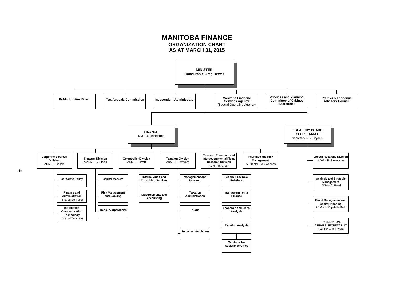<span id="page-19-0"></span>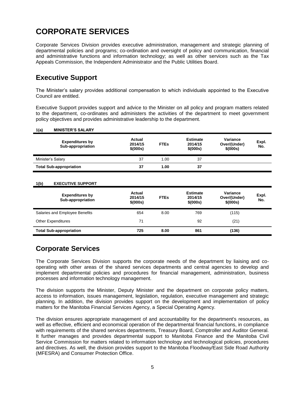# <span id="page-20-0"></span>**CORPORATE SERVICES**

Corporate Services Division provides executive administration, management and strategic planning of departmental policies and programs; co-ordination and oversight of policy and communication, financial and administrative functions and information technology; as well as other services such as the Tax Appeals Commission, the Independent Administrator and the Public Utilities Board.

## <span id="page-20-1"></span>**Executive Support**

The Minister's salary provides additional compensation to which individuals appointed to the Executive Council are entitled.

Executive Support provides support and advice to the Minister on all policy and program matters related to the department, co-ordinates and administers the activities of the department to meet government policy objectives and provides administrative leadership to the department.

| 1(a)              | <b>MINISTER'S SALARY</b>                    |                               |             |                                         |                                      |              |
|-------------------|---------------------------------------------|-------------------------------|-------------|-----------------------------------------|--------------------------------------|--------------|
|                   | <b>Expenditures by</b><br>Sub-appropriation | Actual<br>2014/15<br>\$(000s) | <b>FTEs</b> | <b>Estimate</b><br>2014/15<br>\$ (000s) | Variance<br>Over/(Under)<br>\$(000s) | Expl.<br>No. |
| Minister's Salary |                                             | 37                            | 1.00        | 37                                      |                                      |              |
|                   | <b>Total Sub-appropriation</b>              | 37                            | 1.00        | 37                                      |                                      |              |
|                   |                                             |                               |             |                                         |                                      |              |
| 1(b)              | <b>EXECUTIVE SUPPORT</b>                    |                               |             |                                         |                                      |              |

| <b>Expenditures by</b><br>Sub-appropriation | Actual<br>2014/15<br>\$ (000s) | <b>FTEs</b> | <b>Estimate</b><br>2014/15<br>\$ (000s) | Variance<br>Over/(Under)<br>\$ (000s) | Expl.<br>No. |
|---------------------------------------------|--------------------------------|-------------|-----------------------------------------|---------------------------------------|--------------|
| Salaries and Employee Benefits              | 654                            | 8.00        | 769                                     | (115)                                 |              |
| <b>Other Expenditures</b>                   | 71                             |             | 92                                      | (21)                                  |              |
| <b>Total Sub-appropriation</b>              | 725                            | 8.00        | 861                                     | (136)                                 |              |

# <span id="page-20-2"></span>**Corporate Services**

The Corporate Services Division supports the corporate needs of the department by liaising and cooperating with other areas of the shared services departments and central agencies to develop and implement departmental policies and procedures for financial management, administration, business processes and information technology management.

The division supports the Minister, Deputy Minister and the department on corporate policy matters, access to information, issues management, legislation, regulation, executive management and strategic planning. In addition, the division provides support on the development and implementation of policy matters for the Manitoba Financial Services Agency, a Special Operating Agency.

The division ensures appropriate management of and accountability for the department's resources, as well as effective, efficient and economical operation of the departmental financial functions, in compliance with requirements of the shared services departments, Treasury Board, Comptroller and Auditor General. It further manages and provides departmental support to Manitoba Finance and the Manitoba Civil Service Commission for matters related to information technology and technological policies, procedures and directives. As well, the division provides support to the Manitoba Floodway/East Side Road Authority (MFESRA) and Consumer Protection Office.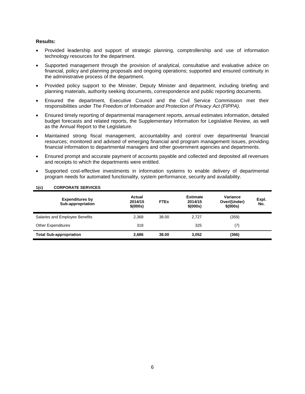#### **Results:**

- Provided leadership and support of strategic planning, comptrollership and use of information technology resources for the department.
- Supported management through the provision of analytical, consultative and evaluative advice on financial, policy and planning proposals and ongoing operations; supported and ensured continuity in the administrative process of the department.
- Provided policy support to the Minister, Deputy Minister and department, including briefing and planning materials, authority seeking documents, correspondence and public reporting documents.
- Ensured the department, Executive Council and the Civil Service Commission met their responsibilities under *The Freedom of Information and Protection of Privacy Act (FIPPA).*
- Ensured timely reporting of departmental management reports, annual estimates information, detailed budget forecasts and related reports, the Supplementary Information for Legislative Review, as well as the Annual Report to the Legislature.
- Maintained strong fiscal management, accountability and control over departmental financial resources; monitored and advised of emerging financial and program management issues, providing financial information to departmental managers and other government agencies and departments.
- Ensured prompt and accurate payment of accounts payable and collected and deposited all revenues and receipts to which the departments were entitled.
- Supported cost-effective investments in information systems to enable delivery of departmental program needs for automated functionality, system performance, security and availability.

| <b>Expenditures by</b><br>Sub-appropriation | Actual<br>2014/15<br>\$(000s) | <b>FTEs</b> | <b>Estimate</b><br>2014/15<br>\$ (000s) | Variance<br>Over/(Under)<br>\$ (000s) | Expl.<br>No. |
|---------------------------------------------|-------------------------------|-------------|-----------------------------------------|---------------------------------------|--------------|
| Salaries and Employee Benefits              | 2.368                         | 38.00       | 2.727                                   | (359)                                 |              |
| <b>Other Expenditures</b>                   | 318                           |             | 325                                     | (7)                                   |              |
| <b>Total Sub-appropriation</b>              | 2.686                         | 38.00       | 3,052                                   | (366)                                 |              |

### **1(c) CORPORATE SERVICES**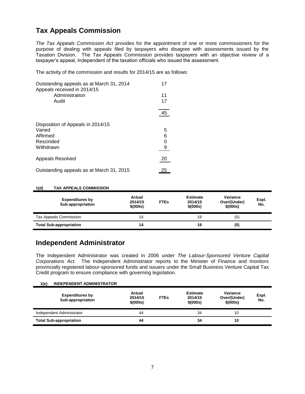# <span id="page-22-0"></span>**Tax Appeals Commission**

*The Tax Appeals Commission Act* provides for the appointment of one or more commissioners for the purpose of dealing with appeals filed by taxpayers who disagree with assessments issued by the Taxation Division. The Tax Appeals Commission provides taxpayers with an objective review of a taxpayer's appeal, independent of the taxation officials who issued the assessment.

The activity of the commission and results for 2014/15 are as follows:

| Outstanding appeals as at March 31, 2014<br>Appeals received in 2014/15 | 17       |
|-------------------------------------------------------------------------|----------|
| Administration<br>Audit                                                 | 11<br>17 |
|                                                                         | 45       |
| Disposition of Appeals in 2014/15                                       |          |
| Varied                                                                  | 5        |
| Affirmed                                                                | 6        |
| Rescinded                                                               |          |
| Withdrawn                                                               |          |
| Appeals Resolved                                                        | 20       |
| Outstanding appeals as at March 31, 2015                                | 25       |

#### **1(d) TAX APPEALS COMMISSION**

| <b>Expenditures by</b><br>Sub-appropriation | Actual<br>2014/15<br>\$(000s) | <b>FTEs</b> | <b>Estimate</b><br>2014/15<br>\$ (000s) | Variance<br>Over/(Under)<br>\$ (000s) | Expl.<br>No. |
|---------------------------------------------|-------------------------------|-------------|-----------------------------------------|---------------------------------------|--------------|
| Tax Appeals Commission                      | 14                            |             | 19                                      | (5)                                   |              |
| <b>Total Sub-appropriation</b>              | 14                            |             | 19                                      | (5)                                   |              |

### <span id="page-22-1"></span>**Independent Administrator**

**1(e) INDEPENDENT ADMINISTRATOR**

The Independent Administrator was created in 2006 under *The Labour-Sponsored Venture Capital Corporations Act*. The Independent Administrator reports to the Minister of Finance and monitors provincially registered labour-sponsored funds and issuers under the Small Business Venture Capital Tax Credit program to ensure compliance with governing legislation.

| 1(e) | INDEPENDENT ADMINISTRATOR                   |                                |             |                                         |                                       |              |
|------|---------------------------------------------|--------------------------------|-------------|-----------------------------------------|---------------------------------------|--------------|
|      | <b>Expenditures by</b><br>Sub-appropriation | Actual<br>2014/15<br>\$ (000s) | <b>FTEs</b> | <b>Estimate</b><br>2014/15<br>\$ (000s) | Variance<br>Over/(Under)<br>\$ (000s) | Expl.<br>No. |
|      | Independent Administrator                   | 44                             |             | 34                                      | 10                                    |              |
|      | <b>Total Sub-appropriation</b>              | 44                             |             | 34                                      | 10                                    |              |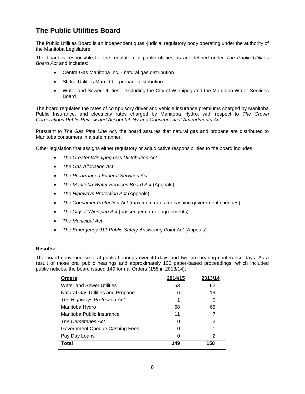# <span id="page-23-0"></span>**The Public Utilities Board**

The Public Utilities Board is an independent quasi-judicial regulatory body operating under the authority of the Manitoba Legislature.

The board is responsible for the regulation of public utilities as are defined under *The Public Utilities Board Act* and includes:

- Centra Gas Manitoba Inc. natural gas distribution
- Stittco Utilities Man Ltd. propane distribution
- Water and Sewer Utilities excluding the City of Winnipeg and the Manitoba Water Services Board

The board regulates the rates of compulsory driver and vehicle insurance premiums charged by Manitoba Public Insurance, and electricity rates charged by Manitoba Hydro, with respect to *The Crown Corporations Public Review and Accountability and Consequential Amendments Act.*

Pursuant to *The Gas Pipe Line Act,* the board assures that natural gas and propane are distributed to Manitoba consumers in a safe manner.

Other legislation that assigns either regulatory or adjudicative responsibilities to the board includes:

- *The Greater Winnipeg Gas Distribution Act*
- *The Gas Allocation Act*
- *The Prearranged Funeral Services Act*
- *The Manitoba Water Services Board Act* (Appeals)
- *The Highways Protection Act* (Appeals)
- *The Consumer Protection Act* (maximum rates for cashing government cheques)
- *The City of Winnipeg Act* (passenger carrier agreements)
- *The Municipal Act*
- The Emergency 911 Public Safety Answering Point Act (Appeals)

#### **Results:**

The board convened six oral public hearings over 40 days and two pre-hearing conference days. As a result of those oral public hearings and approximately 100 paper-based proceedings, which included public notices, the board issued 149 formal Orders (158 in 2013/14):

| <b>Orders</b>                     | 2014/15 | 2013/14 |
|-----------------------------------|---------|---------|
| <b>Water and Sewer Utilities</b>  | 53      | 62      |
| Natural Gas Utilities and Propane | 16      | 19      |
| The Highways Protection Act       |         | 0       |
| Manitoba Hydro                    | 68      | 65      |
| Manitoba Public Insurance         | 11      | 7       |
| The Cemeteries Act                | 0       | 2       |
| Government Cheque Cashing Fees    | 0       | 1       |
| Pay Day Loans                     | 0       | 2       |
| <b>Total</b>                      | 149     | 158     |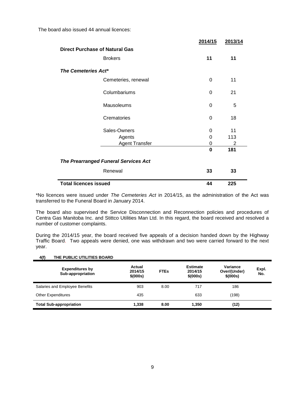The board also issued 44 annual licences:

|                                             | 2014/15  | 2013/14 |
|---------------------------------------------|----------|---------|
| <b>Direct Purchase of Natural Gas</b>       |          |         |
| <b>Brokers</b>                              | 11       | 11      |
| The Cemeteries Act*                         |          |         |
| Cemeteries, renewal                         | 0        | 11      |
| Columbariums                                | 0        | 21      |
| Mausoleums                                  | 0        | 5       |
| Crematories                                 | $\Omega$ | 18      |
| Sales-Owners                                | 0        | 11      |
| Agents                                      | 0        | 113     |
| <b>Agent Transfer</b>                       | 0        | 2       |
|                                             | $\bf{0}$ | 181     |
| <b>The Prearranged Funeral Services Act</b> |          |         |
| Renewal                                     | 33       | 33      |
| <b>Total licences issued</b>                | 44       | 225     |

\*No licences were issued under *The Cemeteries Act* in 2014/15, as the administration of the Act was transferred to the Funeral Board in January 2014.

The board also supervised the Service Disconnection and Reconnection policies and procedures of Centra Gas Manitoba Inc. and Stittco Utilities Man Ltd. In this regard, the board received and resolved a number of customer complaints.

During the 2014/15 year, the board received five appeals of a decision handed down by the Highway Traffic Board. Two appeals were denied, one was withdrawn and two were carried forward to the next year.

#### **4(f) THE PUBLIC UTILITIES BOARD**

| <b>Expenditures by</b><br>Sub-appropriation | Actual<br>2014/15<br>\$ (000s) | <b>FTEs</b> | <b>Estimate</b><br>2014/15<br>\$ (000s) | Variance<br>Over/(Under)<br>\$ (000s) | Expl.<br>No. |
|---------------------------------------------|--------------------------------|-------------|-----------------------------------------|---------------------------------------|--------------|
| Salaries and Employee Benefits              | 903                            | 8.00        | 717                                     | 186                                   |              |
| <b>Other Expenditures</b>                   | 435                            |             | 633                                     | (198)                                 |              |
| <b>Total Sub-appropriation</b>              | 1.338                          | 8.00        | 1.350                                   | (12)                                  |              |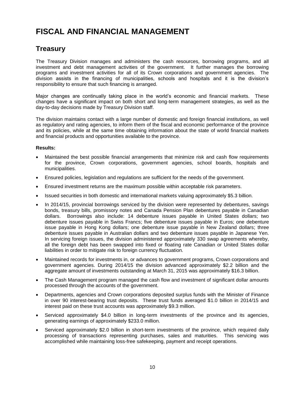# <span id="page-25-0"></span>**FISCAL AND FINANCIAL MANAGEMENT**

### <span id="page-25-1"></span>**Treasury**

The Treasury Division manages and administers the cash resources, borrowing programs, and all investment and debt management activities of the government. It further manages the borrowing programs and investment activities for all of its Crown corporations and government agencies. The division assists in the financing of municipalities, schools and hospitals and it is the division's responsibility to ensure that such financing is arranged.

Major changes are continually taking place in the world's economic and financial markets. These changes have a significant impact on both short and long-term management strategies, as well as the day-to-day decisions made by Treasury Division staff.

The division maintains contact with a large number of domestic and foreign financial institutions, as well as regulatory and rating agencies, to inform them of the fiscal and economic performance of the province and its policies, while at the same time obtaining information about the state of world financial markets and financial products and opportunities available to the province.

#### **Results:**

- Maintained the best possible financial arrangements that minimize risk and cash flow requirements for the province, Crown corporations, government agencies, school boards, hospitals and municipalities.
- Ensured policies, legislation and regulations are sufficient for the needs of the government.
- Ensured investment returns are the maximum possible within acceptable risk parameters.
- Issued securities in both domestic and international markets valuing approximately \$5.3 billion.
- In 2014/15, provincial borrowings serviced by the division were represented by debentures, savings bonds, treasury bills, promissory notes and Canada Pension Plan debentures payable in Canadian dollars. Borrowings also include: 14 debenture issues payable in United States dollars; two debenture issues payable in Swiss Francs; five debenture issues payable in Euros; one debenture issue payable in Hong Kong dollars; one debenture issue payable in New Zealand dollars; three debenture issues payable in Australian dollars and two debenture issues payable in Japanese Yen. In servicing foreign issues, the division administered approximately 330 swap agreements whereby, all the foreign debt has been swapped into fixed or floating rate Canadian or United States dollar liabilities in order to mitigate risk to foreign currency fluctuation.
- Maintained records for investments in, or advances to government programs, Crown corporations and government agencies. During 2014/15 the division advanced approximately \$2.2 billion and the aggregate amount of investments outstanding at March 31, 2015 was approximately \$16.3 billion.
- The Cash Management program managed the cash flow and investment of significant dollar amounts processed through the accounts of the government.
- Departments, agencies and Crown corporations deposited surplus funds with the Minister of Finance in over 90 interest-bearing trust deposits. These trust funds averaged \$1.0 billion in 2014/15 and interest paid on these trust accounts was approximately \$9.3 million.
- Serviced approximately \$4.0 billion in long-term investments of the province and its agencies, generating earnings of approximately \$233.0 million.
- Serviced approximately \$2.0 billion in short-term investments of the province, which required daily processing of transactions representing purchases, sales and maturities. This servicing was accomplished while maintaining loss-free safekeeping, payment and receipt operations.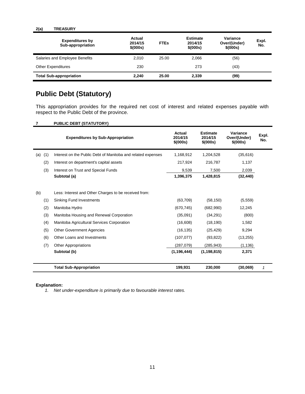#### **2(a) TREASURY**

| <b>Expenditures by</b><br>Sub-appropriation | Actual<br>2014/15<br>\$(000s) | <b>FTEs</b> | <b>Estimate</b><br>2014/15<br>\$ (000s) | Variance<br>Over/(Under)<br>\$ (000s) | Expl.<br>No. |
|---------------------------------------------|-------------------------------|-------------|-----------------------------------------|---------------------------------------|--------------|
| Salaries and Employee Benefits              | 2.010                         | 25.00       | 2.066                                   | (56)                                  |              |
| <b>Other Expenditures</b>                   | 230                           |             | 273                                     | (43)                                  |              |
| <b>Total Sub-appropriation</b>              | 2.240                         | 25.00       | 2,339                                   | (99)                                  |              |

# <span id="page-26-0"></span>**Public Debt (Statutory)**

This appropriation provides for the required net cost of interest and related expenses payable with respect to the Public Debt of the province.

| <b>PUBLIC DEBT (STATUTORY)</b> |  |
|--------------------------------|--|
|--------------------------------|--|

|     |     | <b>Expenditures by Sub-Appropriation</b>                     | Actual<br>2014/15<br>\$(000s) | <b>Estimate</b><br>2014/15<br>\$(000s) | Variance<br>Over/(Under)<br>\$ (000s) | Expl.<br>No. |
|-----|-----|--------------------------------------------------------------|-------------------------------|----------------------------------------|---------------------------------------|--------------|
| (a) | (1) | Interest on the Public Debt of Manitoba and related expenses | 1,168,912                     | 1,204,528                              | (35,616)                              |              |
|     | (2) | Interest on department's capital assets                      | 217,924                       | 216,787                                | 1,137                                 |              |
|     | (3) | Interest on Trust and Special Funds                          | 9,539                         | 7,500                                  | 2,039                                 |              |
|     |     | Subtotal (a)                                                 | 1,396,375                     | 1,428,815                              | (32, 440)                             |              |
| (b) |     | Less: Interest and Other Charges to be received from:        |                               |                                        |                                       |              |
|     | (1) | <b>Sinking Fund Investments</b>                              | (63,709)                      | (58, 150)                              | (5, 559)                              |              |
|     | (2) | Manitoba Hydro                                               | (670, 745)                    | (682,990)                              | 12,245                                |              |
|     | (3) | Manitoba Housing and Renewal Corporation                     | (35,091)                      | (34, 291)                              | (800)                                 |              |
|     | (4) | Manitoba Agricultural Services Corporation                   | (16,608)                      | (18, 190)                              | 1,582                                 |              |
|     | (5) | <b>Other Government Agencies</b>                             | (16, 135)                     | (25, 429)                              | 9,294                                 |              |
|     | (6) | Other Loans and Investments                                  | (107, 077)                    | (93, 822)                              | (13, 255)                             |              |
|     | (7) | <b>Other Appropriations</b>                                  | (287,079)                     | (285, 943)                             | (1, 136)                              |              |
|     |     | Subtotal (b)                                                 | (1, 196, 444)                 | (1, 198, 815)                          | 2,371                                 |              |
|     |     | <b>Total Sub-Appropriation</b>                               | 199,931                       | 230,000                                | (30,069)                              | $\mathbf{1}$ |

#### **Explanation:**

*1. Net under-expenditure is primarily due to favourable interest rates.*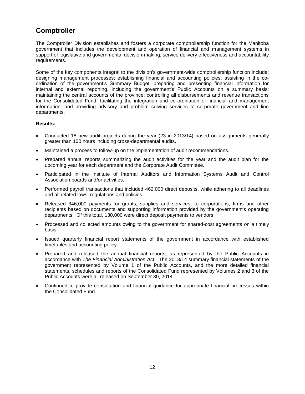# <span id="page-27-0"></span>**Comptroller**

The Comptroller Division establishes and fosters a corporate comptrollership function for the Manitoba government that includes the development and operation of financial and management systems in support of legislative and governmental decision-making, service delivery effectiveness and accountability requirements.

Some of the key components integral to the division's government-wide comptrollership function include: designing management processes; establishing financial and accounting policies; assisting in the coordination of the government's Summary Budget; preparing and presenting financial information for internal and external reporting, including the government's Public Accounts on a summary basis; maintaining the central accounts of the province; controlling all disbursements and revenue transactions for the Consolidated Fund; facilitating the integration and co-ordination of financial and management information; and providing advisory and problem solving services to corporate government and line departments.

#### **Results:**

- Conducted 18 new audit projects during the year (23 in 2013/14) based on assignments generally greater than 100 hours including cross-departmental audits.
- Maintained a process to follow-up on the implementation of audit recommendations.
- Prepared annual reports summarizing the audit activities for the year and the audit plan for the upcoming year for each department and the Corporate Audit Committee.
- Participated in the Institute of Internal Auditors and Information Systems Audit and Control Association boards and/or activities.
- Performed payroll transactions that included 462,000 direct deposits, while adhering to all deadlines and all related laws, regulations and policies.
- Released 346,000 payments for grants, supplies and services, to corporations, firms and other recipients based on documents and supporting information provided by the government's operating departments. Of this total, 130,000 were direct deposit payments to vendors.
- Processed and collected amounts owing to the government for shared-cost agreements on a timely basis.
- Issued quarterly financial report statements of the government in accordance with established timetables and accounting policy.
- Prepared and released the annual financial reports, as represented by the Public Accounts in accordance with *The Financial Administration Act*. The 2013/14 summary financial statements of the government represented by Volume 1 of the Public Accounts, and the more detailed financial statements, schedules and reports of the Consolidated Fund represented by Volumes 2 and 3 of the Public Accounts were all released on September 30, 2014.
- Continued to provide consultation and financial guidance for appropriate financial processes within the Consolidated Fund.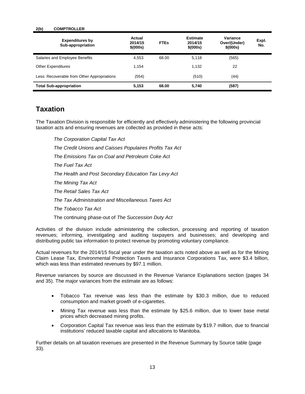#### **2(b) COMPTROLLER**

| <b>Expenditures by</b><br>Sub-appropriation | Actual<br>2014/15<br>\$(000s) | <b>FTEs</b> | <b>Estimate</b><br>2014/15<br>\$(000s) | Variance<br>Over/(Under)<br>\$(000s) | Expl.<br>No. |
|---------------------------------------------|-------------------------------|-------------|----------------------------------------|--------------------------------------|--------------|
| Salaries and Employee Benefits              | 4.553                         | 68.00       | 5.118                                  | (565)                                |              |
| <b>Other Expenditures</b>                   | 1.154                         |             | 1.132                                  | 22                                   |              |
| Less: Recoverable from Other Appropriations | (554)                         |             | (510)                                  | (44)                                 |              |
| <b>Total Sub-appropriation</b>              | 5,153                         | 68.00       | 5,740                                  | (587)                                |              |

### <span id="page-28-0"></span>**Taxation**

The Taxation Division is responsible for efficiently and effectively administering the following provincial taxation acts and ensuring revenues are collected as provided in these acts:

*The Corporation Capital Tax Act The Credit Unions and Caisses Populaires Profits Tax Act The Emissions Tax on Coal and Petroleum Coke Act The Fuel Tax Act The Health and Post Secondary Education Tax Levy Act The Mining Tax Act The Retail Sales Tax Act The Tax Administration and Miscellaneous Taxes Act The Tobacco Tax Act*

The continuing phase-out of *The Succession Duty Act*

Activities of the division include administering the collection, processing and reporting of taxation revenues; informing, investigating and auditing taxpayers and businesses; and developing and distributing public tax information to protect revenue by promoting voluntary compliance.

Actual revenues for the 2014/15 fiscal year under the taxation acts noted above as well as for the Mining Claim Lease Tax, Environmental Protection Taxes and Insurance Corporations Tax, were \$3.4 billion, which was less than estimated revenues by \$97.1 million.

Revenue variances by source are discussed in the Revenue Variance Explanations section (pages 34 and 35). The major variances from the estimate are as follows:

- Tobacco Tax revenue was less than the estimate by \$30.3 million, due to reduced consumption and market growth of e-cigarettes.
- Mining Tax revenue was less than the estimate by \$25.6 million, due to lower base metal prices which decreased mining profits.
- Corporation Capital Tax revenue was less than the estimate by \$19.7 million, due to financial institutions' reduced taxable capital and allocations to Manitoba.

Further details on all taxation revenues are presented in the Revenue Summary by Source table (page 33).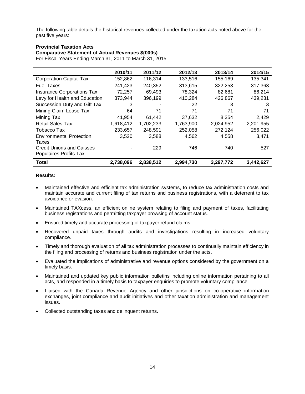The following table details the historical revenues collected under the taxation acts noted above for the past five years:

#### **Provincial Taxation Acts**

**Comparative Statement of Actual Revenues \$(000s)**

For Fiscal Years Ending March 31, 2011 to March 31, 2015

|                                                            | 2010/11   | 2011/12   | 2012/13   | 2013/14   | 2014/15   |
|------------------------------------------------------------|-----------|-----------|-----------|-----------|-----------|
| <b>Corporation Capital Tax</b>                             | 152,862   | 116.314   | 133,516   | 155,169   | 135.341   |
| <b>Fuel Taxes</b>                                          | 241,423   | 240,352   | 313,615   | 322,253   | 317,363   |
| <b>Insurance Corporations Tax</b>                          | 72,257    | 69.493    | 78,324    | 82,681    | 86,214    |
| Levy for Health and Education                              | 373,944   | 396.199   | 410,284   | 426,867   | 439,231   |
| Succession Duty and Gift Tax                               | 3         |           | 22        | 3         | 3         |
| Mining Claim Lease Tax                                     | 64        | 71        | 71        | 71        | 71        |
| Mining Tax                                                 | 41,954    | 61,442    | 37.632    | 8.354     | 2,429     |
| <b>Retail Sales Tax</b>                                    | 1,618,412 | 1,702,233 | 1,763,900 | 2,024,952 | 2,201,955 |
| Tobacco Tax                                                | 233,657   | 248,591   | 252,058   | 272,124   | 256,022   |
| <b>Environmental Protection</b><br>Taxes                   | 3,520     | 3,588     | 4,562     | 4,558     | 3.471     |
| <b>Credit Unions and Caisses</b><br>Populaires Profits Tax |           | 229       | 746       | 740       | 527       |
| <b>Total</b>                                               | 2,738,096 | 2,838,512 | 2,994,730 | 3,297,772 | 3,442,627 |

#### **Results:**

- Maintained effective and efficient tax administration systems, to reduce tax administration costs and maintain accurate and current filing of tax returns and business registrations, with a deterrent to tax avoidance or evasion.
- Maintained TAXcess, an efficient online system relating to filing and payment of taxes, facilitating business registrations and permitting taxpayer browsing of account status.
- Ensured timely and accurate processing of taxpayer refund claims.
- Recovered unpaid taxes through audits and investigations resulting in increased voluntary compliance.
- Timely and thorough evaluation of all tax administration processes to continually maintain efficiency in the filing and processing of returns and business registration under the acts.
- Evaluated the implications of administrative and revenue options considered by the government on a timely basis.
- Maintained and updated key public information bulletins including online information pertaining to all acts, and responded in a timely basis to taxpayer enquiries to promote voluntary compliance.
- Liaised with the Canada Revenue Agency and other jurisdictions on co-operative information exchanges, joint compliance and audit initiatives and other taxation administration and management issues.
- Collected outstanding taxes and delinquent returns.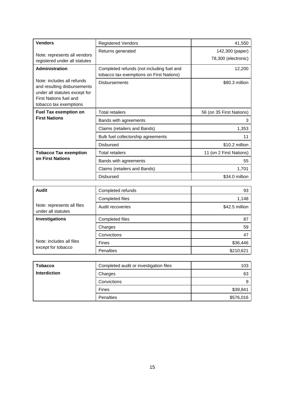| <b>Vendors</b>                                                                                                                                 | <b>Registered Vendors</b>                                                             | 41,550                                 |
|------------------------------------------------------------------------------------------------------------------------------------------------|---------------------------------------------------------------------------------------|----------------------------------------|
| Note: represents all vendors<br>registered under all statutes                                                                                  | Returns generated                                                                     | 142,300 (paper)<br>78,300 (electronic) |
| Administration                                                                                                                                 | Completed refunds (not including fuel and<br>tobacco tax exemptions on First Nations) | 12,200                                 |
| Note: includes all refunds<br>and resulting disbursements<br>under all statutes except for<br>First Nations fuel and<br>tobacco tax exemptions | <b>Disbursements</b>                                                                  | \$80.3 million                         |
| <b>Fuel Tax exemption on</b>                                                                                                                   | <b>Total retailers</b>                                                                | 56 (on 35 First Nations)               |
| <b>First Nations</b>                                                                                                                           | Bands with agreements                                                                 | 3                                      |
|                                                                                                                                                | Claims (retailers and Bands)                                                          | 1,353                                  |
|                                                                                                                                                | Bulk fuel collectorship agreements                                                    | 11                                     |
|                                                                                                                                                | <b>Disbursed</b>                                                                      | \$10.2 million                         |
| <b>Tobacco Tax exemption</b>                                                                                                                   | <b>Total retailers</b>                                                                | 11 (on 2 First Nations)                |
| on First Nations                                                                                                                               | Bands with agreements                                                                 | 55                                     |
|                                                                                                                                                | Claims (retailers and Bands)                                                          | 1,701                                  |
|                                                                                                                                                | <b>Disbursed</b>                                                                      | \$34.0 million                         |

| Audit                                            | Completed refunds | 93             |
|--------------------------------------------------|-------------------|----------------|
|                                                  | Completed files   | 1,148          |
| Note: represents all files<br>under all statutes | Audit recoveries  | \$42.5 million |
| Investigations                                   | Completed files   | 87             |
|                                                  | Charges           | 59             |
|                                                  | Convictions       | 47             |
| Note: includes all files                         | <b>Fines</b>      | \$36,446       |
| except for tobacco                               | <b>Penalties</b>  | \$210,621      |

| <b>Tobacco</b>      | Completed audit or investigation files | 103       |
|---------------------|----------------------------------------|-----------|
| <b>Interdiction</b> | Charges                                | 63        |
|                     | Convictions                            |           |
|                     | Fines                                  | \$39,841  |
|                     | Penalties                              | \$576,016 |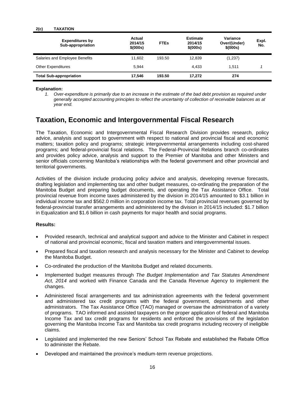#### **2(c) TAXATION**

| <b>Expenditures by</b><br>Sub-appropriation | Actual<br>2014/15<br>\$(000s) | <b>FTEs</b> | <b>Estimate</b><br>2014/15<br>\$ (000s) | Variance<br>Over/(Under)<br>\$ (000s) | Expl.<br>No. |
|---------------------------------------------|-------------------------------|-------------|-----------------------------------------|---------------------------------------|--------------|
| Salaries and Employee Benefits              | 11.602                        | 193.50      | 12.839                                  | (1,237)                               |              |
| <b>Other Expenditures</b>                   | 5.944                         |             | 4.433                                   | 1.511                                 |              |
| <b>Total Sub-appropriation</b>              | 17.546                        | 193.50      | 17.272                                  | 274                                   |              |

#### **Explanation:**

*1. Over-expenditure is primarily due to an increase in the estimate of the bad debt provision as required under generally accepted accounting principles to reflect the uncertainty of collection of receivable balances as at year end.*

### <span id="page-31-0"></span>**Taxation, Economic and Intergovernmental Fiscal Research**

The Taxation, Economic and Intergovernmental Fiscal Research Division provides research, policy advice, analysis and support to government with respect to national and provincial fiscal and economic matters; taxation policy and programs; strategic intergovernmental arrangements including cost-shared programs; and federal-provincial fiscal relations. The Federal-Provincial Relations branch co-ordinates and provides policy advice, analysis and support to the Premier of Manitoba and other Ministers and senior officials concerning Manitoba's relationships with the federal government and other provincial and territorial governments.

Activities of the division include producing policy advice and analysis, developing revenue forecasts, drafting legislation and implementing tax and other budget measures, co-ordinating the preparation of the Manitoba Budget and preparing budget documents, and operating the Tax Assistance Office. Total provincial revenue from income taxes administered by the division in 2014/15 amounted to \$3.1 billion in individual income tax and \$562.0 million in corporation income tax. Total provincial revenues governed by federal-provincial transfer arrangements and administered by the division in 2014/15 included: \$1.7 billion in Equalization and \$1.6 billion in cash payments for major health and social programs.

#### **Results:**

- Provided research, technical and analytical support and advice to the Minister and Cabinet in respect of national and provincial economic, fiscal and taxation matters and intergovernmental issues.
- Prepared fiscal and taxation research and analysis necessary for the Minister and Cabinet to develop the Manitoba Budget.
- Co-ordinated the production of the Manitoba Budget and related documents.
- Implemented budget measures through *The Budget Implementation and Tax Statutes Amendment Act, 2014* and worked with Finance Canada and the Canada Revenue Agency to implement the changes.
- Administered fiscal arrangements and tax administration agreements with the federal government and administered tax credit programs with the federal government, departments and other administrators. The Tax Assistance Office (TAO) managed or oversaw the administration of a variety of programs. TAO informed and assisted taxpayers on the proper application of federal and Manitoba Income Tax and tax credit programs for residents and enforced the provisions of the legislation governing the Manitoba Income Tax and Manitoba tax credit programs including recovery of ineligible claims.
- Legislated and implemented the new Seniors' School Tax Rebate and established the Rebate Office to administer the Rebate.
- Developed and maintained the province's medium-term revenue projections.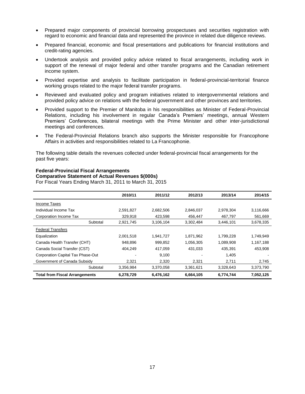- Prepared major components of provincial borrowing prospectuses and securities registration with regard to economic and financial data and represented the province in related due diligence reviews.
- Prepared financial, economic and fiscal presentations and publications for financial institutions and credit-rating agencies.
- Undertook analysis and provided policy advice related to fiscal arrangements, including work in support of the renewal of major federal and other transfer programs and the Canadian retirement income system.
- Provided expertise and analysis to facilitate participation in federal-provincial-territorial finance working groups related to the major federal transfer programs.
- Reviewed and evaluated policy and program initiatives related to intergovernmental relations and provided policy advice on relations with the federal government and other provinces and territories.
- Provided support to the Premier of Manitoba in his responsibilities as Minister of Federal-Provincial Relations, including his involvement in regular Canada's Premiers' meetings, annual Western Premiers' Conferences, bilateral meetings with the Prime Minister and other inter-jurisdictional meetings and conferences.
- The Federal-Provincial Relations branch also supports the Minister responsible for Francophone Affairs in activities and responsibilities related to La Francophonie.

The following table details the revenues collected under federal-provincial fiscal arrangements for the past five years:

#### **Federal-Provincial Fiscal Arrangements Comparative Statement of Actual Revenues \$(000s)**

For Fiscal Years Ending March 31, 2011 to March 31, 2015

|                                       | 2010/11   | 2011/12   | 2012/13   | 2013/14   | 2014/15   |
|---------------------------------------|-----------|-----------|-----------|-----------|-----------|
| Income Taxes                          |           |           |           |           |           |
| Individual Income Tax                 | 2,591,827 | 2,682,506 | 2,846,037 | 2,978,304 | 3,116,666 |
| Corporation Income Tax                | 329.918   | 423.598   | 456.447   | 467.797   | 561,669   |
| Subtotal                              | 2,921,745 | 3,106,104 | 3,302,484 | 3,446,101 | 3,678,335 |
| <b>Federal Transfers</b>              |           |           |           |           |           |
| Equalization                          | 2,001,518 | 1.941.727 | 1,871,962 | 1,799,228 | 1,749,949 |
| Canada Health Transfer (CHT)          | 948.896   | 999.852   | 1,056,305 | 1,089,908 | 1,167,188 |
| Canada Social Transfer (CST)          | 404,249   | 417.059   | 431,033   | 435,391   | 453,908   |
| Corporation Capital Tax Phase-Out     |           | 9,100     |           | 1,405     |           |
| Government of Canada Subsidy          | 2,321     | 2,320     | 2,321     | 2,711     | 2,745     |
| Subtotal                              | 3,356,984 | 3,370,058 | 3,361,621 | 3,328,643 | 3,373,790 |
| <b>Total from Fiscal Arrangements</b> | 6,278,729 | 6,476,162 | 6,664,105 | 6,774,744 | 7,052,125 |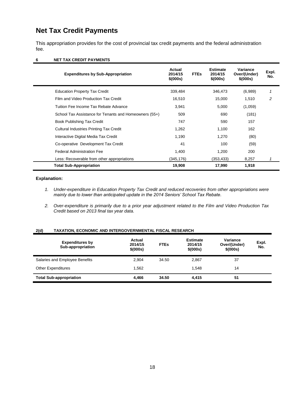# <span id="page-33-0"></span>**Net Tax Credit Payments**

This appropriation provides for the cost of provincial tax credit payments and the federal administration fee.

#### **6 NET TAX CREDIT PAYMENTS**

| <b>Expenditures by Sub-Appropriation</b>               | Actual<br>2014/15<br>\$(000s) | <b>FTEs</b> | <b>Estimate</b><br>2014/15<br>\$ (000s) | Variance<br>Over/(Under)<br>\$ (000s) | Expl.<br>No. |
|--------------------------------------------------------|-------------------------------|-------------|-----------------------------------------|---------------------------------------|--------------|
| <b>Education Property Tax Credit</b>                   | 339,484                       |             | 346,473                                 | (6,989)                               |              |
| Film and Video Production Tax Credit                   | 16,510                        |             | 15,000                                  | 1.510                                 | 2            |
| Tuition Fee Income Tax Rebate Advance                  | 3,941                         |             | 5,000                                   | (1,059)                               |              |
| School Tax Assistance for Tenants and Homeowners (55+) | 509                           |             | 690                                     | (181)                                 |              |
| Book Publishing Tax Credit                             | 747                           |             | 590                                     | 157                                   |              |
| <b>Cultural Industries Printing Tax Credit</b>         | 1,262                         |             | 1,100                                   | 162                                   |              |
| Interactive Digital Media Tax Credit                   | 1,190                         |             | 1,270                                   | (80)                                  |              |
| Co-operative Development Tax Credit                    | 41                            |             | 100                                     | (59)                                  |              |
| <b>Federal Administration Fee</b>                      | 1,400                         |             | 1,200                                   | 200                                   |              |
| Less: Recoverable from other appropriations            | (345,176)                     |             | (353,433)                               | 8,257                                 |              |
| <b>Total Sub-Appropriation</b>                         | 19,908                        |             | 17,990                                  | 1,918                                 |              |

#### **Explanation:**

- *1. Under-expenditure in Education Property Tax Credit and reduced recoveries from other appropriations were mainly due to lower than anticipated update in the 2014 Seniors' School Tax Rebate.*
- *2. Over-expenditure is primarily due to a prior year adjustment related to the Film and Video Production Tax Credit based on 2013 final tax year data.*

#### **2(d) TAXATION, ECONOMIC AND INTERGOVERNMENTAL FISCAL RESEARCH**

| <b>Expenditures by</b><br>Sub-appropriation | Actual<br>2014/15<br>\$(000s) | <b>FTEs</b> | <b>Estimate</b><br>2014/15<br>\$ (000s) | Variance<br>Over/(Under)<br>\$ (000s) | Expl.<br>No. |
|---------------------------------------------|-------------------------------|-------------|-----------------------------------------|---------------------------------------|--------------|
| Salaries and Employee Benefits              | 2.904                         | 34.50       | 2.867                                   | 37                                    |              |
| <b>Other Expenditures</b>                   | 1.562                         |             | 1.548                                   | 14                                    |              |
| <b>Total Sub-appropriation</b>              | 4.466                         | 34.50       | 4.415                                   | 51                                    |              |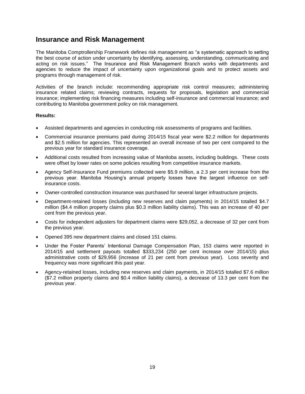### <span id="page-34-0"></span>**Insurance and Risk Management**

The Manitoba Comptrollership Framework defines risk management as "a systematic approach to setting the best course of action under uncertainty by identifying, assessing, understanding, communicating and acting on risk issues." The Insurance and Risk Management Branch works with departments and agencies to reduce the impact of uncertainty upon organizational goals and to protect assets and programs through management of risk.

Activities of the branch include: recommending appropriate risk control measures; administering insurance related claims; reviewing contracts, requests for proposals, legislation and commercial insurance; implementing risk financing measures including self-insurance and commercial insurance; and contributing to Manitoba government policy on risk management.

#### **Results:**

- Assisted departments and agencies in conducting risk assessments of programs and facilities.
- Commercial insurance premiums paid during 2014/15 fiscal year were \$2.2 million for departments and \$2.5 million for agencies. This represented an overall increase of two per cent compared to the previous year for standard insurance coverage.
- Additional costs resulted from increasing value of Manitoba assets, including buildings. These costs were offset by lower rates on some policies resulting from competitive insurance markets.
- Agency Self-Insurance Fund premiums collected were \$5.9 million, a 2.3 per cent increase from the previous year. Manitoba Housing's annual property losses have the largest influence on selfinsurance costs.
- Owner-controlled construction insurance was purchased for several larger infrastructure projects.
- Department-retained losses (including new reserves and claim payments) in 2014/15 totalled \$4.7 million (\$4.4 million property claims plus \$0.3 million liability claims). This was an increase of 40 per cent from the previous year.
- Costs for independent adjusters for department claims were \$29,052, a decrease of 32 per cent from the previous year.
- Opened 395 new department claims and closed 151 claims.
- Under the Foster Parents' Intentional Damage Compensation Plan, 153 claims were reported in 2014/15 and settlement payouts totalled \$333,234 (250 per cent increase over 2014/15) plus administrative costs of \$29,956 (increase of 21 per cent from previous year). Loss severity and frequency was more significant this past year.
- Agency-retained losses, including new reserves and claim payments, in 2014/15 totalled \$7.6 million (\$7.2 million property claims and \$0.4 million liability claims), a decrease of 13.3 per cent from the previous year.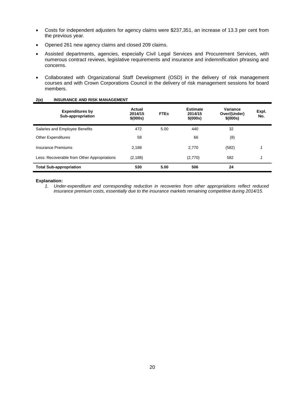- Costs for independent adjusters for agency claims were \$237,351, an increase of 13.3 per cent from the previous year.
- Opened 261 new agency claims and closed 209 claims.
- Assisted departments, agencies, especially Civil Legal Services and Procurement Services, with numerous contract reviews, legislative requirements and insurance and indemnification phrasing and concerns.
- Collaborated with Organizational Staff Development (OSD) in the delivery of risk management courses and with Crown Corporations Council in the delivery of risk management sessions for board members.

| <b>Expenditures by</b><br>Sub-appropriation | Actual<br>2014/15<br>\$(000s) | <b>FTEs</b> | <b>Estimate</b><br>2014/15<br>\$(000s) | Variance<br>Over/(Under)<br>\$(000s) | Expl.<br>No. |
|---------------------------------------------|-------------------------------|-------------|----------------------------------------|--------------------------------------|--------------|
| Salaries and Employee Benefits              | 472                           | 5.00        | 440                                    | 32                                   |              |
| <b>Other Expenditures</b>                   | 58                            |             | 66                                     | (8)                                  |              |
| Insurance Premiums                          | 2.188                         |             | 2,770                                  | (582)                                | 1            |
| Less: Recoverable from Other Appropriations | (2, 188)                      |             | (2,770)                                | 582                                  | 4            |
| <b>Total Sub-appropriation</b>              | 530                           | 5.00        | 506                                    | 24                                   |              |

#### **2(e) INSURANCE AND RISK MANAGEMENT**

#### **Explanation:**

*1. Under-expenditure and corresponding reduction in recoveries from other appropriations reflect reduced insurance premium costs, essentially due to the insurance markets remaining competitive during 2014/15.*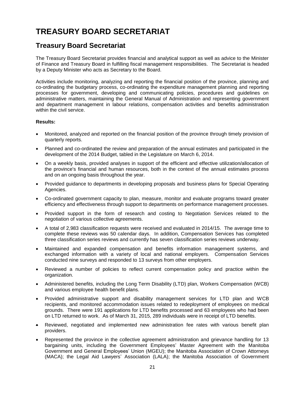# <span id="page-36-0"></span>**TREASURY BOARD SECRETARIAT**

### <span id="page-36-1"></span>**Treasury Board Secretariat**

The Treasury Board Secretariat provides financial and analytical support as well as advice to the Minister of Finance and Treasury Board in fulfilling fiscal management responsibilities. The Secretariat is headed by a Deputy Minister who acts as Secretary to the Board.

Activities include monitoring, analyzing and reporting the financial position of the province, planning and co-ordinating the budgetary process, co-ordinating the expenditure management planning and reporting processes for government, developing and communicating policies, procedures and guidelines on administrative matters, maintaining the General Manual of Administration and representing government and department management in labour relations, compensation activities and benefits administration within the civil service.

### **Results:**

- Monitored, analyzed and reported on the financial position of the province through timely provision of quarterly reports.
- Planned and co-ordinated the review and preparation of the annual estimates and participated in the development of the 2014 Budget, tabled in the Legislature on March 6, 2014.
- On a weekly basis, provided analyses in support of the efficient and effective utilization/allocation of the province's financial and human resources, both in the context of the annual estimates process and on an ongoing basis throughout the year.
- Provided guidance to departments in developing proposals and business plans for Special Operating Agencies.
- Co-ordinated government capacity to plan, measure, monitor and evaluate programs toward greater efficiency and effectiveness through support to departments on performance management processes.
- Provided support in the form of research and costing to Negotiation Services related to the negotiation of various collective agreements.
- A total of 2,983 classification requests were received and evaluated in 2014/15. The average time to complete these reviews was 50 calendar days. In addition, Compensation Services has completed three classification series reviews and currently has seven classification series reviews underway.
- Maintained and expanded compensation and benefits information management systems, and exchanged information with a variety of local and national employers. Compensation Services conducted nine surveys and responded to 13 surveys from other employers.
- Reviewed a number of policies to reflect current compensation policy and practice within the organization.
- Administered benefits, including the Long Term Disability (LTD) plan, Workers Compensation (WCB) and various employee health benefit plans.
- Provided administrative support and disability management services for LTD plan and WCB recipients, and monitored accommodation issues related to redeployment of employees on medical grounds. There were 191 applications for LTD benefits processed and 63 employees who had been on LTD returned to work. As of March 31, 2015, 289 individuals were in receipt of LTD benefits.
- Reviewed, negotiated and implemented new administration fee rates with various benefit plan providers.
- Represented the province in the collective agreement administration and grievance handling for 13 bargaining units, including the Government Employees' Master Agreement with the Manitoba Government and General Employees' Union (MGEU); the Manitoba Association of Crown Attorneys (MACA); the Legal Aid Lawyers' Association (LALA); the Manitoba Association of Government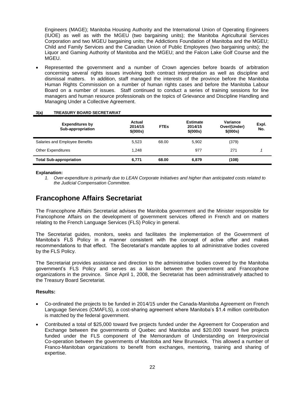Engineers (MAGE); Manitoba Housing Authority and the International Union of Operating Engineers (IUOE) as well as with the MGEU (two bargaining units); the Manitoba Agricultural Services Corporation and two MGEU bargaining units; the Addictions Foundation of Manitoba and the MGEU; Child and Family Services and the Canadian Union of Public Employees (two bargaining units); the Liquor and Gaming Authority of Manitoba and the MGEU; and the Falcon Lake Golf Course and the MGEU.

 Represented the government and a number of Crown agencies before boards of arbitration concerning several rights issues involving both contract interpretation as well as discipline and dismissal matters. In addition, staff managed the interests of the province before the Manitoba Human Rights Commission on a number of human rights cases and before the Manitoba Labour Board on a number of issues. Staff continued to conduct a series of training sessions for line managers and human resource professionals on the topics of Grievance and Discipline Handling and Managing Under a Collective Agreement.

#### **3(a) TREASURY BOARD SECRETARIAT**

| <b>Expenditures by</b><br>Sub-appropriation | Actual<br>2014/15<br>\$ (000s) | <b>FTEs</b> | <b>Estimate</b><br>2014/15<br>\$ (000s) | Variance<br>Over/(Under)<br>\$ (000s) | Expl.<br>No. |
|---------------------------------------------|--------------------------------|-------------|-----------------------------------------|---------------------------------------|--------------|
| Salaries and Employee Benefits              | 5.523                          | 68.00       | 5.902                                   | (379)                                 |              |
| <b>Other Expenditures</b>                   | 1.248                          |             | 977                                     | 271                                   |              |
| <b>Total Sub-appropriation</b>              | 6.771                          | 68.00       | 6,879                                   | (108)                                 |              |

**Explanation:**

### <span id="page-37-0"></span>**Francophone Affairs Secretariat**

The Francophone Affairs Secretariat advises the Manitoba government and the Minister responsible for Francophone Affairs on the development of government services offered in French and on matters relating to the French Language Services (FLS) Policy in general.

The Secretariat guides, monitors, seeks and facilitates the implementation of the Government of Manitoba's FLS Policy in a manner consistent with the concept of active offer and makes recommendations to that effect. The Secretariat's mandate applies to all administrative bodies covered by the FLS Policy.

The Secretariat provides assistance and direction to the administrative bodies covered by the Manitoba government's FLS Policy and serves as a liaison between the government and Francophone organizations in the province. Since April 1, 2008, the Secretariat has been administratively attached to the Treasury Board Secretariat.

#### **Results:**

- Co-ordinated the projects to be funded in 2014/15 under the Canada-Manitoba Agreement on French Language Services (CMAFLS), a cost-sharing agreement where Manitoba's \$1.4 million contribution is matched by the federal government.
- Contributed a total of \$25,000 toward five projects funded under the Agreement for Cooperation and Exchange between the governments of Quebec and Manitoba and \$20,000 toward five projects funded under the FLS component of the Memorandum of Understanding on Interprovincial Co-operation between the governments of Manitoba and New Brunswick. This allowed a number of Franco-Manitoban organizations to benefit from exchanges, mentoring, training and sharing of expertise.

*<sup>1.</sup> Over-expenditure is primarily due to LEAN Corporate Initiatives and higher than anticipated costs related to the Judicial Compensation Committee.*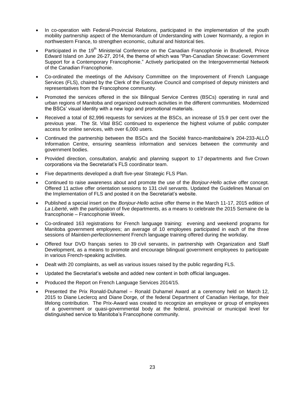- In co-operation with Federal-Provincial Relations, participated in the implementation of the youth mobility partnership aspect of the Memorandum of Understanding with Lower Normandy, a region in northwestern France, to strengthen economic, cultural and historical ties.
- Participated in the 19<sup>th</sup> Ministerial Conference on the Canadian Francophonie in Brudenell, Prince Edward Island on June 26-27, 2014, the theme of which was "Pan-Canadian Showcase: Government Support for a Contemporary Francophonie." Actively participated on the Intergovernmental Network of the Canadian Francophonie.
- Co-ordinated the meetings of the Advisory Committee on the Improvement of French Language Services (FLS), chaired by the Clerk of the Executive Council and comprised of deputy ministers and representatives from the Francophone community.
- Promoted the services offered in the six Bilingual Service Centres (BSCs) operating in rural and urban regions of Manitoba and organized outreach activities in the different communities*.* Modernized the BSCs' visual identity with a new logo and promotional materials.
- Received a total of 82,996 requests for services at the BSCs, an increase of 15.9 per cent over the previous year. The St. Vital BSC continued to experience the highest volume of public computer access for online services, with over 6,000 users.
- Continued the partnership between the BSCs and the Société franco-manitobaine's 204-233-ALLÔ Information Centre, ensuring seamless information and services between the community and government bodies.
- Provided direction, consultation, analytic and planning support to 17 departments and five Crown corporations via the Secretariat's FLS coordinator team.
- Five departments developed a draft five-year Strategic FLS Plan.
- Continued to raise awareness about and promote the use of the *Bonjour-Hello* active offer concept. Offered 11 active offer orientation sessions to 131 civil servants. Updated the Guidelines Manual on the Implementation of FLS and posted it on the Secretariat's website.
- Published a special insert on the *Bonjour-Hello* active offer theme in the March 11-17, 2015 edition of *La Liberté*, with the participation of five departments, as a means to celebrate the 2015 Semaine de la francophonie – Francophonie Week.
- Co-ordinated 163 registrations for French language training: evening and weekend programs for Manitoba government employees; an average of 10 employees participated in each of the three sessions of *Maintien-perfectionnement* French language training offered during the workday.
- Offered four DVD français series to 39 civil servants, in partnership with Organization and Staff Development, as a means to promote and encourage bilingual government employees to participate in various French-speaking activities.
- Dealt with 20 complaints, as well as various issues raised by the public regarding FLS.
- Updated the Secretariat's website and added new content in both official languages.
- Produced the Report on French Language Services 2014/15.
- Presented the Prix Ronald-Duhamel Ronald Duhamel Award at a ceremony held on March 12, 2015 to Diane Leclercq and Diane Dorge, of the federal Department of Canadian Heritage, for their lifelong contribution. The Prix-Award was created to recognize an employee or group of employees of a government or quasi-governmental body at the federal, provincial or municipal level for distinguished service to Manitoba's Francophone community.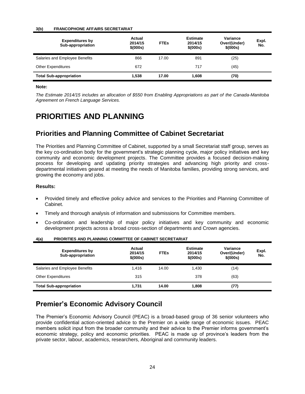#### **3(b) FRANCOPHONE AFFAIRS SECRETARIAT**

| <b>Expenditures by</b><br>Sub-appropriation | Actual<br>2014/15<br>\$(000s) | <b>FTEs</b> | <b>Estimate</b><br>2014/15<br>\$ (000s) | Variance<br>Over/(Under)<br>\$ (000s) | Expl.<br>No. |
|---------------------------------------------|-------------------------------|-------------|-----------------------------------------|---------------------------------------|--------------|
| Salaries and Employee Benefits              | 866                           | 17.00       | 891                                     | (25)                                  |              |
| <b>Other Expenditures</b>                   | 672                           |             | 717                                     | (45)                                  |              |
| <b>Total Sub-appropriation</b>              | 1.538                         | 17.00       | 1.608                                   | (70)                                  |              |

#### **Note:**

*The Estimate 2014/15 includes an allocation of \$550 from Enabling Appropriations as part of the Canada-Manitoba Agreement on French Language Services.*

# <span id="page-39-0"></span>**PRIORITIES AND PLANNING**

### <span id="page-39-1"></span>**Priorities and Planning Committee of Cabinet Secretariat**

The Priorities and Planning Committee of Cabinet, supported by a small Secretariat staff group, serves as the key co-ordination body for the government's strategic planning cycle, major policy initiatives and key community and economic development projects. The Committee provides a focused decision-making process for developing and updating priority strategies and advancing high priority and crossdepartmental initiatives geared at meeting the needs of Manitoba families, providing strong services, and growing the economy and jobs.

#### **Results:**

- Provided timely and effective policy advice and services to the Priorities and Planning Committee of Cabinet.
- Timely and thorough analysis of information and submissions for Committee members.
- Co-ordination and leadership of major policy initiatives and key community and economic development projects across a broad cross-section of departments and Crown agencies.

| $\mathbf{v}$<br><b>Expenditures by</b><br>Sub-appropriation | Actual<br>2014/15<br>\$(000s) | <b>Estimate</b><br><b>FTEs</b><br>2014/15<br>\$ (000s) | Variance<br>Over/(Under)<br>\$ (000s) | Expl.<br>No. |
|-------------------------------------------------------------|-------------------------------|--------------------------------------------------------|---------------------------------------|--------------|
| Salaries and Employee Benefits                              | 1.416<br>14.00                | 1,430                                                  | (14)                                  |              |
| <b>Other Expenditures</b>                                   | 315                           | 378                                                    | (63)                                  |              |
| <b>Total Sub-appropriation</b>                              | 1.731                         | 14.00<br>1.808                                         | (77)                                  |              |

#### **4(a) PRIORITIES AND PLANNING COMMITTEE OF CABINET SECRETARIAT**

### <span id="page-39-2"></span>**Premier's Economic Advisory Council**

The Premier's Economic Advisory Council (PEAC) is a broad-based group of 36 senior volunteers who provide confidential action-oriented advice to the Premier on a wide range of economic issues. PEAC members solicit input from the broader community and their advice to the Premier informs government's economic strategy, policy and economic priorities. PEAC is made up of province's leaders from the private sector, labour, academics, researchers, Aboriginal and community leaders.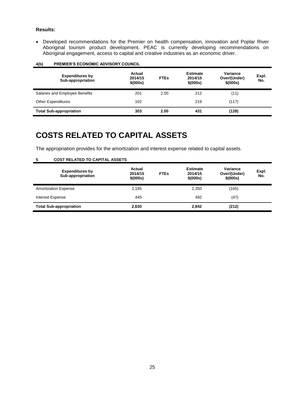#### **Results:**

 Developed recommendations for the Premier on health compensation, innovation and Poplar River Aboriginal tourism product development. PEAC is currently developing recommendations on Aboriginal engagement, access to capital and creative industries as an economic driver.

| <b>Expenditures by</b><br>Sub-appropriation | Actual<br>2014/15<br>\$ (000s) | <b>FTEs</b> | <b>Estimate</b><br>2014/15<br>\$ (000s) | Variance<br>Over/(Under)<br>\$ (000s) | Expl.<br>No. |
|---------------------------------------------|--------------------------------|-------------|-----------------------------------------|---------------------------------------|--------------|
| Salaries and Employee Benefits              | 201                            | 2.00        | 212                                     | (11)                                  |              |
| <b>Other Expenditures</b>                   | 102                            |             | 219                                     | (117)                                 |              |
| <b>Total Sub-appropriation</b>              | 303                            | 2.00        | 431                                     | (128)                                 |              |

#### **4(b) PREMIER'S ECONOMIC ADVISORY COUNCIL**

# <span id="page-40-0"></span>**COSTS RELATED TO CAPITAL ASSETS**

The appropriation provides for the amortization and interest expense related to capital assets.

| ູ                              | <b>COOT NEEATED TO OAT ITAL AGOLTO</b>      |                               |             |                                         |                                       |              |
|--------------------------------|---------------------------------------------|-------------------------------|-------------|-----------------------------------------|---------------------------------------|--------------|
|                                | <b>Expenditures by</b><br>Sub-appropriation | Actual<br>2014/15<br>\$(000s) | <b>FTEs</b> | <b>Estimate</b><br>2014/15<br>\$ (000s) | Variance<br>Over/(Under)<br>\$ (000s) | Expl.<br>No. |
| <b>Amortization Expense</b>    |                                             | 2,185                         |             | 2,350                                   | (165)                                 |              |
| <b>Interest Expense</b>        |                                             | 445                           |             | 492                                     | (47)                                  |              |
| <b>Total Sub-appropriation</b> |                                             | 2,630                         |             | 2,842                                   | (212)                                 |              |

#### **5 COST RELATED TO CAPITAL ASSETS**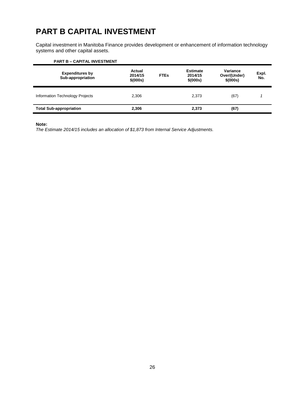# <span id="page-41-0"></span>**PART B CAPITAL INVESTMENT**

Capital investment in Manitoba Finance provides development or enhancement of information technology systems and other capital assets.

| <b>PART B - CAPITAL INVESTMENT</b>          |                               |             |                                         |                                       |              |
|---------------------------------------------|-------------------------------|-------------|-----------------------------------------|---------------------------------------|--------------|
| <b>Expenditures by</b><br>Sub-appropriation | Actual<br>2014/15<br>\$(000s) | <b>FTEs</b> | <b>Estimate</b><br>2014/15<br>\$ (000s) | Variance<br>Over/(Under)<br>\$ (000s) | Expl.<br>No. |
| Information Technology Projects             | 2,306                         |             | 2,373                                   | (67)                                  |              |
| <b>Total Sub-appropriation</b>              | 2.306                         |             | 2,373                                   | (67)                                  |              |

#### **Note:**

*The Estimate 2014/15 includes an allocation of \$1,873 from Internal Service Adjustments.*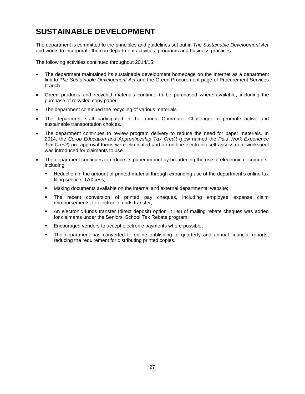# <span id="page-42-0"></span>**SUSTAINABLE DEVELOPMENT**

The department is committed to the principles and guidelines set out in *The Sustainable Development Act* and works to incorporate them in department activities, programs and business practices.

The following activities continued throughout 2014/15:

- The department maintained its sustainable development homepage on the Internet as a department link to *The Sustainable Development Act* and the Green Procurement page of Procurement Services branch.
- Green products and recycled materials continue to be purchased where available, including the purchase of recycled copy paper.
- The department continued the recycling of various materials.
- The department staff participated in the annual Commuter Challenger to promote active and sustainable transportation choices.
- The department continues to review program delivery to reduce the need for paper materials. In 2014, the *Co-op Education and Apprenticeship Tax Credit* (now named the *Paid Work Experience Tax Credit*) pre-approval forms were eliminated and an on-line electronic self-assessment worksheet was introduced for claimants to use.
- The department continues to reduce its paper imprint by broadening the use of electronic documents, including:
	- Reduction in the amount of printed material through expanding use of the department's online tax filing service, TAXcess;
	- Making documents available on the internal and external departmental website;
	- The recent conversion of printed pay cheques, including employee expense claim reimbursements, to electronic funds transfer;
	- An electronic funds transfer (direct deposit) option in lieu of mailing rebate cheques was added for claimants under the Seniors' School Tax Rebate program;
	- **Encouraged vendors to accept electronic payments where possible;**
	- The department has converted to online publishing of quarterly and annual financial reports, reducing the requirement for distributing printed copies.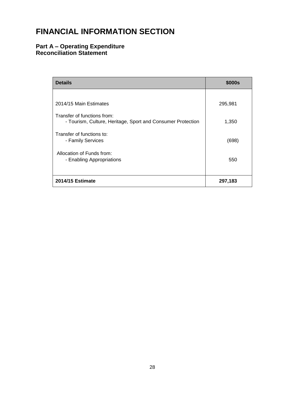# <span id="page-43-0"></span>**FINANCIAL INFORMATION SECTION**

### <span id="page-43-1"></span>**Part A – Operating Expenditure Reconciliation Statement**

| <b>Details</b>                                                                             | \$000s  |
|--------------------------------------------------------------------------------------------|---------|
|                                                                                            |         |
| 2014/15 Main Estimates                                                                     | 295,981 |
| Transfer of functions from:<br>- Tourism, Culture, Heritage, Sport and Consumer Protection | 1,350   |
| Transfer of functions to:<br>- Family Services                                             | (698)   |
| Allocation of Funds from:<br>- Enabling Appropriations                                     | 550     |
| 2014/15 Estimate                                                                           | 297,183 |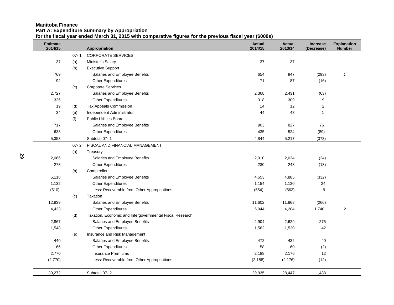#### **Manitoba Finance Part A: Expenditure Summary by Appropriation for the fiscal year ended March 31, 2015 with comparative figures for the previous fiscal year (\$000s)**

<span id="page-44-0"></span>

| <b>Estimate</b><br>2014/15 |          | Appropriation                                            | <b>Actual</b><br>2014/15 | <b>Actual</b><br>2013/14 | <b>Increase</b><br>(Decrease) | <b>Explanation</b><br><b>Number</b> |
|----------------------------|----------|----------------------------------------------------------|--------------------------|--------------------------|-------------------------------|-------------------------------------|
|                            | $07 - 1$ | <b>CORPORATE SERVICES</b>                                |                          |                          |                               |                                     |
| 37                         | (a)      | Minister's Salary                                        | 37                       | 37                       |                               |                                     |
|                            | (b)      | <b>Executive Support</b>                                 |                          |                          |                               |                                     |
| 769                        |          | Salaries and Employee Benefits                           | 654                      | 947                      | (293)                         | $\mathbf{1}$                        |
| 92                         |          | <b>Other Expenditures</b>                                | 71                       | 87                       | (16)                          |                                     |
|                            | (c)      | <b>Corporate Services</b>                                |                          |                          |                               |                                     |
| 2,727                      |          | Salaries and Employee Benefits                           | 2,368                    | 2,431                    | (63)                          |                                     |
| 325                        |          | <b>Other Expenditures</b>                                | 318                      | 309                      | 9                             |                                     |
| 19                         | (d)      | Tax Appeals Commission                                   | 14                       | 12                       | $\overline{c}$                |                                     |
| 34                         | (e)      | Independent Administrator                                | 44                       | 43                       | $\mathbf{1}$                  |                                     |
|                            | (f)      | <b>Public Utilities Board</b>                            |                          |                          |                               |                                     |
| 717                        |          | Salaries and Employee Benefits                           | 903                      | 827                      | 76                            |                                     |
| 633                        |          | Other Expenditures                                       | 435                      | 524                      | (89)                          |                                     |
| 5,353                      |          | Subtotal 07-1                                            | 4,844                    | 5,217                    | (373)                         |                                     |
|                            | $07 - 2$ | FISCAL AND FINANCIAL MANAGEMENT                          |                          |                          |                               |                                     |
|                            | (a)      | Treasury                                                 |                          |                          |                               |                                     |
| 2,066                      |          | Salaries and Employee Benefits                           | 2,010                    | 2,034                    | (24)                          |                                     |
| 273                        |          | <b>Other Expenditures</b>                                | 230                      | 248                      | (18)                          |                                     |
|                            | (b)      | Comptroller                                              |                          |                          |                               |                                     |
| 5,118                      |          | Salaries and Employee Benefits                           | 4,553                    | 4,885                    | (332)                         |                                     |
| 1,132                      |          | <b>Other Expenditures</b>                                | 1,154                    | 1,130                    | 24                            |                                     |
| (510)                      |          | Less: Recoverable from Other Appropriations              | (554)                    | (563)                    | 9                             |                                     |
|                            | (c)      | Taxation                                                 |                          |                          |                               |                                     |
| 12,839                     |          | Salaries and Employee Benefits                           | 11,602                   | 11,868                   | (266)                         |                                     |
| 4,433                      |          | <b>Other Expenditures</b>                                | 5,944                    | 4,204                    | 1,740                         | $\overline{c}$                      |
|                            | (d)      | Taxation, Economic and Intergovernmental Fiscal Research |                          |                          |                               |                                     |
| 2,867                      |          | Salaries and Employee Benefits                           | 2,904                    | 2,629                    | 275                           |                                     |
| 1,548                      |          | <b>Other Expenditures</b>                                | 1,562                    | 1,520                    | 42                            |                                     |
|                            | (e)      | Insurance and Risk Management                            |                          |                          |                               |                                     |
| 440                        |          | Salaries and Employee Benefits                           | 472                      | 432                      | 40                            |                                     |
| 66                         |          | <b>Other Expenditures</b>                                | 58                       | 60                       | (2)                           |                                     |
| 2,770                      |          | <b>Insurance Premiums</b>                                | 2,188                    | 2,176                    | 12                            |                                     |
| (2,770)                    |          | Less: Recoverable from Other Appropriations              | (2, 188)                 | (2, 176)                 | (12)                          |                                     |
| 30,272                     |          | Subtotal 07-2                                            | 29,935                   | 28,447                   | 1,488                         |                                     |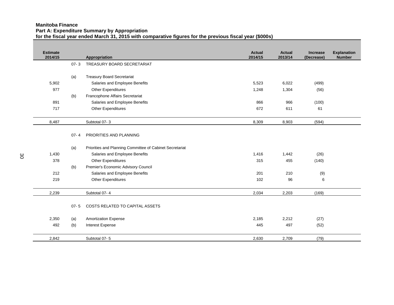#### **Manitoba Finance Part A: Expenditure Summary by Appropriation for the fiscal year ended March 31, 2015 with comparative figures for the previous fiscal year (\$000s)**

| <b>Estimate</b><br>2014/15 |          | Appropriation                                            | <b>Actual</b><br>2014/15 | <b>Actual</b><br>2013/14 | <b>Increase</b><br>(Decrease) | <b>Explanation</b><br><b>Number</b> |
|----------------------------|----------|----------------------------------------------------------|--------------------------|--------------------------|-------------------------------|-------------------------------------|
|                            | $07 - 3$ | TREASURY BOARD SECRETARIAT                               |                          |                          |                               |                                     |
|                            |          |                                                          |                          |                          |                               |                                     |
|                            | (a)      | <b>Treasury Board Secretariat</b>                        |                          |                          |                               |                                     |
| 5,902                      |          | Salaries and Employee Benefits                           | 5,523                    | 6,022                    | (499)                         |                                     |
| 977                        |          | Other Expenditures                                       | 1,248                    | 1,304                    | (56)                          |                                     |
|                            | (b)      | Francophone Affairs Secretariat                          |                          |                          |                               |                                     |
| 891                        |          | Salaries and Employee Benefits                           | 866                      | 966                      | (100)                         |                                     |
| 717                        |          | <b>Other Expenditures</b>                                | 672                      | 611                      | 61                            |                                     |
| 8,487                      |          | Subtotal 07-3                                            | 8,309                    | 8,903                    | (594)                         |                                     |
|                            | $07 - 4$ | PRIORITIES AND PLANNING                                  |                          |                          |                               |                                     |
|                            | (a)      | Priorities and Planning Committee of Cabinet Secretariat |                          |                          |                               |                                     |
| 1,430                      |          | Salaries and Employee Benefits                           | 1,416                    | 1,442                    | (26)                          |                                     |
| 378                        |          | <b>Other Expenditures</b>                                | 315                      | 455                      | (140)                         |                                     |
|                            | (b)      | Premier's Economic Advisory Council                      |                          |                          |                               |                                     |
| 212                        |          | Salaries and Employee Benefits                           | 201                      | 210                      | (9)                           |                                     |
| 219                        |          | <b>Other Expenditures</b>                                | 102                      | 96                       | 6                             |                                     |
| 2,239                      |          | Subtotal 07-4                                            | 2,034                    | 2,203                    | (169)                         |                                     |
|                            | $07 - 5$ | <b>COSTS RELATED TO CAPITAL ASSETS</b>                   |                          |                          |                               |                                     |
| 2,350                      | (a)      | <b>Amortization Expense</b>                              | 2,185                    | 2,212                    | (27)                          |                                     |
| 492                        | (b)      | Interest Expense                                         | 445                      | 497                      | (52)                          |                                     |
| 2,842                      |          | Subtotal 07-5                                            | 2,630                    | 2,709                    | (79)                          |                                     |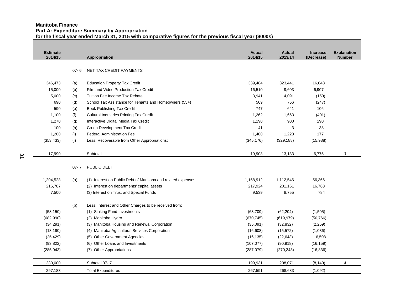#### **Manitoba Finance Part A: Expenditure Summary by Appropriation for the fiscal year ended March 31, 2015 with comparative figures for the previous fiscal year (\$000s)**

| <b>Estimate</b><br>2014/15 |          | Appropriation                                                | <b>Actual</b><br>2014/15 | <b>Actual</b><br>2013/14 | <b>Increase</b><br>(Decrease) | <b>Explanation</b><br><b>Number</b> |
|----------------------------|----------|--------------------------------------------------------------|--------------------------|--------------------------|-------------------------------|-------------------------------------|
|                            | $07 - 6$ | NET TAX CREDIT PAYMENTS                                      |                          |                          |                               |                                     |
| 346,473                    | (a)      | <b>Education Property Tax Credit</b>                         | 339,484                  | 323,441                  | 16,043                        |                                     |
| 15,000                     | (b)      | Film and Video Production Tax Credit                         | 16,510                   | 9,603                    | 6,907                         |                                     |
| 5,000                      | (c)      | Tuition Fee Income Tax Rebate                                | 3,941                    | 4,091                    | (150)                         |                                     |
| 690                        | (d)      | School Tax Assistance for Tenants and Homeowners (55+)       | 509                      | 756                      | (247)                         |                                     |
| 590                        | (e)      | <b>Book Publishing Tax Credit</b>                            | 747                      | 641                      | 106                           |                                     |
| 1,100                      | (f)      | <b>Cultural Industries Printing Tax Credit</b>               | 1,262                    | 1,663                    | (401)                         |                                     |
| 1,270                      | (g)      | Interactive Digital Media Tax Credit                         | 1,190                    | 900                      | 290                           |                                     |
| 100                        | (h)      | Co-op Development Tax Credit                                 | 41                       | 3                        | 38                            |                                     |
| 1,200                      | (i)      | <b>Federal Administration Fee</b>                            | 1,400                    | 1,223                    | 177                           |                                     |
| (353, 433)                 | (i)      | Less: Recoverable from Other Appropriations:                 | (345, 176)               | (329, 188)               | (15,988)                      |                                     |
| 17,990                     |          | Subtotal                                                     | 19,908                   | 13,133                   | 6,775                         | 3                                   |
|                            | $07 - 7$ | PUBLIC DEBT                                                  |                          |                          |                               |                                     |
| 1,204,528                  | (a)      | (1) Interest on Public Debt of Manitoba and related expenses | 1,168,912                | 1,112,546                | 56,366                        |                                     |
| 216,787                    |          | (2) Interest on departments' capital assets                  | 217,924                  | 201,161                  | 16,763                        |                                     |
| 7,500                      |          | (3) Interest on Trust and Special Funds                      | 9,539                    | 8,755                    | 784                           |                                     |
|                            | (b)      | Less: Interest and Other Charges to be received from:        |                          |                          |                               |                                     |
| (58, 150)                  |          | (1) Sinking Fund Investments                                 | (63, 709)                | (62, 204)                | (1, 505)                      |                                     |
| (682,990)                  |          | (2) Manitoba Hydro                                           | (670, 745)               | (619, 979)               | (50, 766)                     |                                     |
| (34, 291)                  |          | (3) Manitoba Housing and Renewal Corporation                 | (35,091)                 | (32, 832)                | (2,259)                       |                                     |
| (18, 190)                  |          | (4) Manitoba Agricultural Services Corporation               | (16,608)                 | (15, 572)                | (1,036)                       |                                     |
| (25, 429)                  |          | <b>Other Government Agencies</b><br>(5)                      | (16, 135)                | (22, 643)                | 6,508                         |                                     |
| (93, 822)                  |          | Other Loans and Investments<br>(6)                           | (107, 077)               | (90, 918)                | (16, 159)                     |                                     |
| (285, 943)                 |          | <b>Other Appropriations</b><br>(7)                           | (287,079)                | (270, 243)               | (16, 836)                     |                                     |
| 230,000                    |          | Subtotal 07-7                                                | 199,931                  | 208,071                  | (8, 140)                      | $\overline{4}$                      |
| 297,183                    |          | <b>Total Expenditures</b>                                    | 267,591                  | 268,683                  | (1,092)                       |                                     |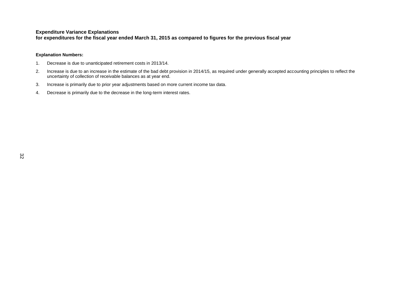#### **Expenditure Variance Explanations**

**for expenditures for the fiscal year ended March 31, 2015 as compared to figures for the previous fiscal year**

#### **Explanation Numbers:**

- 1. Decrease is due to unanticipated retirement costs in 2013/14.
- 2. Increase is due to an increase in the estimate of the bad debt provision in 2014/15, as required under generally accepted accounting principles to reflect the uncertainty of collection of receivable balances as at year end.
- 3. Increase is primarily due to prior year adjustments based on more current income tax data.
- 4. Decrease is primarily due to the decrease in the long-term interest rates.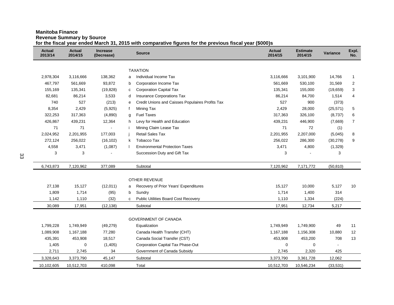#### **Manitoba Finance**

**Revenue Summary by Source**

**for the fiscal year ended March 31, 2015 with comparative figures for the previous fiscal year (\$000)s**

<span id="page-48-0"></span>

| <b>Actual</b><br>2013/14 | <b>Actual</b><br>2014/15 | <b>Increase</b><br>(Decrease) |   | <b>Source</b>                                    | <b>Actual</b><br>2014/15 | <b>Estimate</b><br>2014/15 | Variance  | Expl.<br>No.   |
|--------------------------|--------------------------|-------------------------------|---|--------------------------------------------------|--------------------------|----------------------------|-----------|----------------|
|                          |                          |                               |   |                                                  |                          |                            |           |                |
|                          |                          |                               |   | <b>TAXATION</b>                                  |                          |                            |           |                |
| 2,978,304                | 3,116,666                | 138,362                       | a | Individual Income Tax                            | 3,116,666                | 3,101,900                  | 14,766    | 1              |
| 467,797                  | 561,669                  | 93,872                        | b | Corporation Income Tax                           | 561,669                  | 530,100                    | 31,569    | 2              |
| 155,169                  | 135,341                  | (19, 828)                     | C | <b>Corporation Capital Tax</b>                   | 135,341                  | 155,000                    | (19, 659) | 3              |
| 82,681                   | 86,214                   | 3,533                         | d | Insurance Corporations Tax                       | 86,214                   | 84,700                     | 1,514     | 4              |
| 740                      | 527                      | (213)                         | e | Credit Unions and Caisses Populaires Profits Tax | 527                      | 900                        | (373)     |                |
| 8,354                    | 2,429                    | (5,925)                       | f | Mining Tax                                       | 2,429                    | 28,000                     | (25, 571) | 5              |
| 322,253                  | 317,363                  | (4,890)                       | g | <b>Fuel Taxes</b>                                | 317,363                  | 326,100                    | (8,737)   | 6              |
| 426,867                  | 439,231                  | 12,364                        | h | Levy for Health and Education                    | 439,231                  | 446,900                    | (7,669)   | $\overline{7}$ |
| 71                       | 71                       |                               |   | Mining Claim Lease Tax                           | 71                       | 72                         | (1)       |                |
| 2,024,952                | 2,201,955                | 177,003                       |   | <b>Retail Sales Tax</b>                          | 2,201,955                | 2,207,000                  | (5,045)   | 8              |
| 272,124                  | 256,022                  | (16, 102)                     | k | Tobacco Tax                                      | 256,022                  | 286,300                    | (30, 278) | 9              |
| 4,558                    | 3,471                    | (1,087)                       |   | <b>Environmental Protection Taxes</b>            | 3,471                    | 4,800                      | (1, 329)  |                |
| 3                        | 3                        |                               |   | Succession Duty and Gift Tax                     | 3                        |                            | 3         |                |
| 6,743,873                | 7,120,962                | 377,089                       |   | Subtotal                                         | 7,120,962                | 7,171,772                  | (50, 810) |                |
|                          |                          |                               |   | <b>OTHER REVENUE</b>                             |                          |                            |           |                |
| 27,138                   | 15,127                   | (12,011)                      | a | Recovery of Prior Years' Expenditures            | 15,127                   | 10,000                     | 5,127     | 10             |
| 1,809                    | 1,714                    | (95)                          | b | Sundry                                           | 1,714                    | 1,400                      | 314       |                |
| 1,142                    | 1,110                    | (32)                          | c | <b>Public Utilities Board Cost Recovery</b>      | 1,110                    | 1,334                      | (224)     |                |
| 30,089                   | 17,951                   | (12, 138)                     |   | Subtotal                                         | 17,951                   | 12,734                     | 5,217     |                |
|                          |                          |                               |   |                                                  |                          |                            |           |                |
|                          |                          |                               |   | GOVERNMENT OF CANADA                             |                          |                            |           |                |
| 1,799,228                | 1,749,949                | (49, 279)                     |   | Equalization                                     | 1,749,949                | 1,749,900                  | 49        | 11             |
| 1,089,908                | 1,167,188                | 77,280                        |   | Canada Health Transfer (CHT)                     | 1,167,188                | 1,156,308                  | 10,880    | 12             |
| 435,391                  | 453,908                  | 18,517                        |   | Canada Social Transfer (CST)                     | 453,908                  | 453,200                    | 708       | 13             |
| 1,405                    | $\mathbf 0$              | (1,405)                       |   | Corporation Capital Tax Phase-Out                | $\Omega$                 | $\mathbf 0$                |           |                |
| 2,711                    | 2,745                    | 34                            |   | Government of Canada Subsidy                     | 2,745                    | 2,320                      | 425       |                |
| 3,328,643                | 3,373,790                | 45,147                        |   | Subtotal                                         | 3,373,790                | 3,361,728                  | 12,062    |                |
| 10,102,605               | 10,512,703               | 410,098                       |   | Total                                            | 10,512,703               | 10,546,234                 | (33, 531) |                |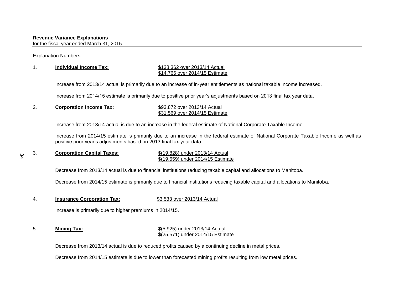Explanation Numbers:

 $\approx$ 

#### 1. **Individual Income Tax:** \$138,362 over 2013/14 Actual \$14,766 over 2014/15 Estimate

Increase from 2013/14 actual is primarily due to an increase of in-year entitlements as national taxable income increased.

Increase from 2014/15 estimate is primarily due to positive prior year's adjustments based on 2013 final tax year data.

2. **Corporation Income Tax:** \$93,872 over 2013/14 Actual \$31,569 over 2014/15 Estimate

Increase from 2013/14 actual is due to an increase in the federal estimate of National Corporate Taxable Income.

Increase from 2014/15 estimate is primarily due to an increase in the federal estimate of National Corporate Taxable Income as well as positive prior year's adjustments based on 2013 final tax year data.

#### 3. **Corporation Capital Taxes:** \$(19,828) under 2013/14 Actual \$(19,659) under 2014/15 Estimate

Decrease from 2013/14 actual is due to financial institutions reducing taxable capital and allocations to Manitoba.

Decrease from 2014/15 estimate is primarily due to financial institutions reducing taxable capital and allocations to Manitoba.

4. **Insurance Corporation Tax:** \$3,533 over 2013/14 Actual

Increase is primarily due to higher premiums in 2014/15.

#### 5. **Mining Tax:** \$(5,925) under 2013/14 Actual \$(25,571) under 2014/15 Estimate

Decrease from 2013/14 actual is due to reduced profits caused by a continuing decline in metal prices.

Decrease from 2014/15 estimate is due to lower than forecasted mining profits resulting from low metal prices.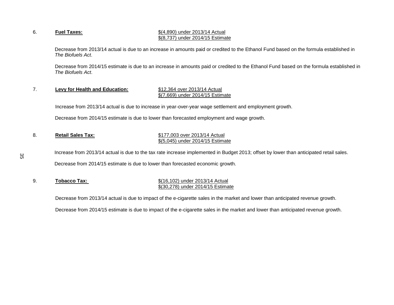#### 6. **Fuel Taxes:** \$(4,890) under 2013/14 Actual \$(8,737) under 2014/15 Estimate

Decrease from 2013/14 actual is due to an increase in amounts paid or credited to the Ethanol Fund based on the formula established in *The Biofuels Act*.

 Decrease from 2014/15 estimate is due to an increase in amounts paid or credited to the Ethanol Fund based on the formula established in *The Biofuels Act*.

#### 7. **Levy for Health and Education:** \$12,364 over 2013/14 Actual \$(7,669) under 2014/15 Estimate

Increase from 2013/14 actual is due to increase in year-over-year wage settlement and employment growth.

Decrease from 2014/15 estimate is due to lower than forecasted employment and wage growth.

#### 8. **Retail Sales Tax:** \$177,003 over 2013/14 Actual \$(5,045) under 2014/15 Estimate

Increase from 2013/14 actual is due to the tax rate increase implemented in Budget 2013; offset by lower than anticipated retail sales. Decrease from 2014/15 estimate is due to lower than forecasted economic growth.

#### 9. **Tobacco Tax: S**(16,102) under 2013/14 Actual \$(30,278) under 2014/15 Estimate

Decrease from 2013/14 actual is due to impact of the e-cigarette sales in the market and lower than anticipated revenue growth.

Decrease from 2014/15 estimate is due to impact of the e-cigarette sales in the market and lower than anticipated revenue growth.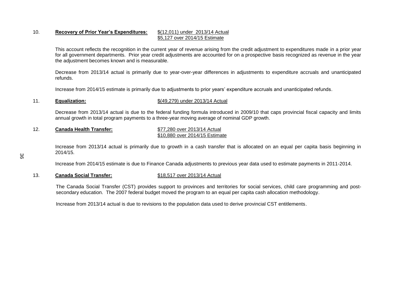#### 10. **Recovery of Prior Year's Expenditures:** \$(12,011) under 2013/14 Actual \$5,127 over 2014/15 Estimate

This account reflects the recognition in the current year of revenue arising from the credit adjustment to expenditures made in a prior year for all government departments. Prior year credit adjustments are accounted for on a prospective basis recognized as revenue in the year the adjustment becomes known and is measurable.

Decrease from 2013/14 actual is primarily due to year-over-year differences in adjustments to expenditure accruals and unanticipated refunds.

Increase from 2014/15 estimate is primarily due to adjustments to prior years' expenditure accruals and unanticipated refunds.

#### 11. **Equalization:** \$(49,279) under 2013/14 Actual

Decrease from 2013/14 actual is due to the federal funding formula introduced in 2009/10 that caps provincial fiscal capacity and limits annual growth in total program payments to a three-year moving average of nominal GDP growth.

#### 12. **Canada Health Transfer:** \$77,280 over 2013/14 Actual \$10,880 over 2014/15 Estimate

Increase from 2013/14 actual is primarily due to growth in a cash transfer that is allocated on an equal per capita basis beginning in 2014/15.

Increase from 2014/15 estimate is due to Finance Canada adjustments to previous year data used to estimate payments in 2011-2014.

#### 13. **Canada Social Transfer:** \$18,517 over 2013/14 Actual

The Canada Social Transfer (CST) provides support to provinces and territories for social services, child care programming and postsecondary education. The 2007 federal budget moved the program to an equal per capita cash allocation methodology.

Increase from 2013/14 actual is due to revisions to the population data used to derive provincial CST entitlements.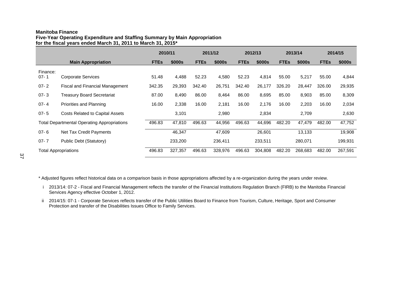#### **Manitoba Finance**

**Five-Year Operating Expenditure and Staffing Summary by Main Appropriation for the fiscal years ended March 31, 2011 to March 31, 2015\***

|                             |                                                    | 2010/11     |         |             | 2011/12 |             | 2012/13 |             | 2013/14 |             | 2014/15 |  |
|-----------------------------|----------------------------------------------------|-------------|---------|-------------|---------|-------------|---------|-------------|---------|-------------|---------|--|
|                             | <b>Main Appropriation</b>                          | <b>FTEs</b> | \$000s  | <b>FTEs</b> | \$000s  | <b>FTEs</b> | \$000s  | <b>FTEs</b> | \$000s  | <b>FTEs</b> | \$000s  |  |
| Finance:<br>$07 - 1$        | <b>Corporate Services</b>                          | 51.48       | 4,488   | 52.23       | 4,580   | 52.23       | 4,814   | 55.00       | 5,217   | 55.00       | 4,844   |  |
| $07 - 2$                    | <b>Fiscal and Financial Management</b>             | 342.35      | 29,393  | 342.40      | 26,751  | 342.40      | 26,177  | 326.20      | 28,447  | 326.00      | 29,935  |  |
| $07 - 3$                    | <b>Treasury Board Secretariat</b>                  | 87.00       | 8,490   | 86.00       | 8,464   | 86.00       | 8,695   | 85.00       | 8,903   | 85.00       | 8,309   |  |
| $07 - 4$                    | Priorities and Planning                            | 16.00       | 2,338   | 16.00       | 2,181   | 16.00       | 2,176   | 16.00       | 2,203   | 16.00       | 2,034   |  |
| $07 - 5$                    | <b>Costs Related to Capital Assets</b>             |             | 3,101   |             | 2,980   |             | 2,834   |             | 2,709   |             | 2,630   |  |
|                             | <b>Total Departmental Operating Appropriations</b> | 496.83      | 47,810  | 496.63      | 44,956  | 496.63      | 44,696  | 482.20      | 47,479  | 482.00      | 47,752  |  |
| $07 - 6$                    | Net Tax Credit Payments                            |             | 46,347  |             | 47,609  |             | 26,601  |             | 13,133  |             | 19,908  |  |
| $07 - 7$                    | Public Debt (Statutory)                            |             | 233,200 |             | 236,411 |             | 233,511 |             | 280,071 |             | 199,931 |  |
| <b>Total Appropriations</b> |                                                    | 496.83      | 327,357 | 496.63      | 328,976 | 496.63      | 304,808 | 482.20      | 268,683 | 482.00      | 267,591 |  |

<span id="page-52-0"></span>\* Adjusted figures reflect historical data on a comparison basis in those appropriations affected by a re-organization during the years under review.

- i 2013/14: 07-2 Fiscal and Financial Management reflects the transfer of the Financial Institutions Regulation Branch (FIRB) to the Manitoba Financial Services Agency effective October 1, 2012.
- ii 2014/15: 07-1 Corporate Services reflects transfer of the Public Utilities Board to Finance from Tourism, Culture, Heritage, Sport and Consumer Protection and transfer of the Disabilities Issues Office to Family Services.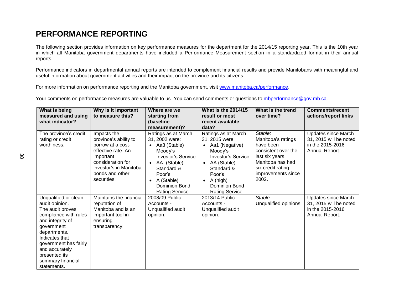# **PERFORMANCE REPORTING**

The following section provides information on key performance measures for the department for the 2014/15 reporting year. This is the 10th year in which all Manitoba government departments have included a Performance Measurement section in a standardized format in their annual reports.

Performance indicators in departmental annual reports are intended to complement financial results and provide Manitobans with meaningful and useful information about government activities and their impact on the province and its citizens.

For more information on performance reporting and the Manitoba government, visit [www.manitoba.ca/performance.](http://www.manitoba.ca/performance)

Your comments on performance measures are valuable to us. You can send comments or questions to [mbperformance@gov.mb.ca.](mailto:mbperformance@gov.mb.ca)

<span id="page-53-0"></span>

| What is being<br>measured and using<br>what indicator?                                                                                                                                                                                                  | Why is it important<br>to measure this?                                                                                                                                       | Where are we<br>starting from<br>(baseline<br>measurement)?                                                                                                                                                | <b>What is the 2014/15</b><br>result or most<br>recent available<br>data?                                                                                                                                     | What is the trend<br>over time?                                                                                                                              | <b>Comments/recent</b><br>actions/report links                                             |
|---------------------------------------------------------------------------------------------------------------------------------------------------------------------------------------------------------------------------------------------------------|-------------------------------------------------------------------------------------------------------------------------------------------------------------------------------|------------------------------------------------------------------------------------------------------------------------------------------------------------------------------------------------------------|---------------------------------------------------------------------------------------------------------------------------------------------------------------------------------------------------------------|--------------------------------------------------------------------------------------------------------------------------------------------------------------|--------------------------------------------------------------------------------------------|
| The province's credit<br>rating or credit<br>worthiness.                                                                                                                                                                                                | Impacts the<br>province's ability to<br>borrow at a cost-<br>effective rate. An<br>important<br>consideration for<br>investor's in Manitoba<br>bonds and other<br>securities. | Ratings as at March<br>31, 2002 were:<br>Aa3 (Stable)<br>Moody's<br><b>Investor's Service</b><br>AA- (Stable)<br>$\bullet$<br>Standard &<br>Poor's<br>A (Stable)<br>Dominion Bond<br><b>Rating Service</b> | Ratings as at March<br>31, 2015 were:<br>• Aa1 (Negative)<br>Moody's<br><b>Investor's Service</b><br>• AA (Stable)<br>Standard &<br>Poor's<br>A (high)<br>$\bullet$<br>Dominion Bond<br><b>Rating Service</b> | Stable:<br>Manitoba's ratings<br>have been<br>consistent over the<br>last six years.<br>Manitoba has had<br>six credit rating<br>improvements since<br>2002. | Updates since March<br>31, 2015 will be noted<br>in the 2015-2016<br>Annual Report.        |
| Unqualified or clean<br>audit opinion.<br>The audit proves<br>compliance with rules<br>and integrity of<br>government<br>departments.<br>Indicates that<br>government has fairly<br>and accurately<br>presented its<br>summary financial<br>statements. | Maintains the financial<br>reputation of<br>Manitoba and is an<br>important tool in<br>ensuring<br>transparency.                                                              | 2008/09 Public<br>Accounts -<br>Unqualified audit<br>opinion.                                                                                                                                              | 2013/14 Public<br>Accounts -<br>Unqualified audit<br>opinion.                                                                                                                                                 | Stable:<br>Unqualified opinions                                                                                                                              | <b>Updates since March</b><br>31, 2015 will be noted<br>in the 2015-2016<br>Annual Report. |